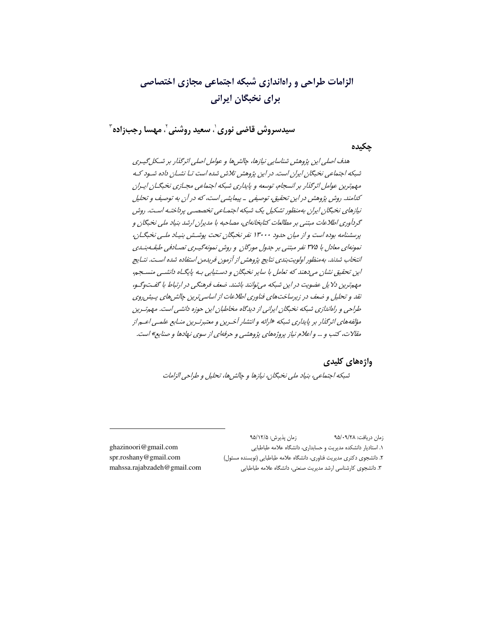# الزامات طراحی و راهاندازی شیکه اجتماعی مجازی اختصاصی برای نخبگان ایرانی

سيدسروش قاضي نوري ٰ، سعيد روشني ٰ، مهسا رجب;اده ؑ

چکیدہ

هدف اصلي اين پژوهش شناسايي نيازها، چالش ها و عوامل اصلي اثرگذار بر شيكل گيبري شبکه اجتماعی نخبگان ایران است. در این پژوهش تلاش شده است تبا نشبان داده شبود ک مهم ترین عوامل اثر گذار بر انسجام، توسعه و پایداری شبکه اجتماعی مجـازی نخبگـان ایـران كدامند. روش پژوهش در اين تحقيق، توصيفي \_ پيمايشي است، كه در آن به توصيف و تحليل نیازهای نخبگان ایران بهمنظور تشکیل یک شبکه اجتماعی تخصصبی پرداختیه است. روش گردآوری اطلاعات مبتنی بر مطالعات کتابخانهای، مصاحبه با مدیران ارشد بنیاد ملی نخبگان و پرسشنامه بوده است و از میان حدود ۱۳۰۰۰ نفر نخبگان تحت پوشش بنیاد ملبی نخبگـان، نمونهای معادل با ۳۷۵ نفر مبتنی بر جدول مورگان و روش نمونهگیری تصـادفی طبقـه بنـدی انتخاب شدند. بهمنظور اولويت بندي نتايج پژوهش از آزمون فريدمن استفاده شده است. نتـايج این تحقیق نشان میدهند که تعامل با سایر نخبگان و دستیابی بـه پایگـاه دانشــی منسـجم، مهمترین دلایل عضویت در این شبکه می توانند باشند. ضعف فرهنگی در ارتباط با گفتوگیو، نقد و تحلیل و ضعف در زیرساختهای فناوری اطلاعات از اساسی ترین چالش های پیش روی طراحی و راهاندازی شبکه نخبگان ایرانی از دیدگاه مخاطبان این حوزه دانشی است. مهم ترین مؤلفه های اثرگذار بر پایداری شبکه «ارائه و انتشار آخـرین و معتبرتـرین منـابع علمـی اعـم از مقالات، کتب و … و اعلام نیاز پروژههای پژوهشی و حرفهای از سوی نهادها و صنایع» است.

> واژههای کلیدی شبکه اجتماعی، بنیاد ملی نخبگان، نیازها و چالش ها، تحلیل و طراحی الزامات

ghazinoori@gmail.com spr.roshany@gmail.com mahssa.rajabzadeh@gmail.com

زمان دريافت: ٩٥/٠٩/٢٨ زمان پذیرش: ۹۵/۱۲/۵ ١. استادیار دانشکده مدیریت و حسابداری، دانشگاه علامه طباطبایی ٢. دانشجوی دکتری مدیریت فناوری، دانشگاه علامه طباطبایی (نویسنده مسئول) ٣. دانشجوى كارشناسي ارشد مديريت صنعتى، دانشگاه علامه طباطبايي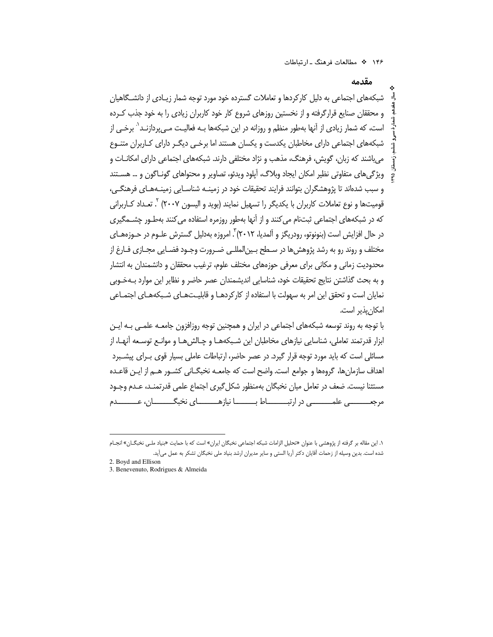مقدمه

شبکههای اجتماعی به دلیل کارکردها و تعاملات گسترده خود مورد توجه شمار زیـادی از دانشـگاهیان و محققان صنایع قرارگرفته و از نخستین روزهای شروع کار خود کاربران زیادی را به خود جذب کـرده است، که شمار زیادی از آنها بهطور منظم و روزانه در این شبکهها بـه فعالیـت مـی,پردازنـد<sup>٬</sup> برخـی از شبکههای اجتماعی دارای مخاطبان یکدست و یکسان هستند اما برخـی دیگـر دارای کـاربران متنـوع می باشند که زبان، گویش، فرهنگ، مذهب و نژاد مختلفی دارند. شبکههای اجتماعی دارای امکانــات و ویژگیهای متفاوتی نظیر امکان ایجاد وبلاگ، آپلود ویدئو، تصاویر و محتواهای گونـاگون و … هسـتند و سبب شدهاند تا پژوهشگران بتوانند فرایند تحقیقات خود در زمینـه شناسـایی زمینـههـای فرهنگـی، قومیتها و نوع تعاملات کاربران با یکدیگر را تسهیل نمایند (بوید و الیسون ۲۰۰۷) <sup>۲</sup>. تعـداد کــاربرانی که در شبکههای اجتماعی ثبتنام میکنند و از آنها بهطور روزمره استفاده میکنند بهطـور چشــمگیری در حال افزایش است (بنونوتو، رودریگز و آلمدیا، ۲۰۱۲) ً. امروزه بهدلیل گسترش علـوم در حـوزههـای مختلف و روند رو به رشد پژوهش ها در سـطح بـين|لمللـي ضـرورت وجـود فضـايي مجـازي فـارغ از محدودیت زمانی و مکانی برای معرفی حوزههای مختلف علوم، ترغیب محققان و دانشمندان به انتشار و به بحث گذاشتن نتایج تحقیقات خود، شناسایی اندیشمندان عصر حاضر و نظایر این موارد بـهخـوبی نمایان است و تحقق این امر به سهولت با استفاده از کارکردهـا و قابلیـتهـای شـبکههـای اجتمـاعی امكان يذير است.

با توجه به روند توسعه شبکههای اجتماعی در ایران و همچنین توجه روزافزون جامعـه علمـی بـه ایـن ابزار قدرتمند تعاملي، شناسايي نيازهاي مخاطبان اين شـبكههـا و چـالش@ـا و موانـع توسـعه آنهـا، از مسائلی است که باید مورد توجه قرار گیرد. در عصر حاضر، ارتباطات عاملی بسیار قوی بـرای پیشــبرد اهداف سازمانها، گروهها و جوامع است. واضح است که جامعــه نخبگــانی کشــور هــم از ایــن قاعــده مستثنا نیست. ضعف در تعامل میان نخبگان بهمنظور شکل گیری اجتماع علمی قدرتمنـد، عـدم وجـود مرجعــــــــــي علمـــــــــــي در ارتبـــــــــــاط بـــــــــــا نيازهـــــــــــاي نخبگــــــــــان، عــــــــــــدم

۰۱. این مقاله بر گرفته از پژوهشی با عنوان «تحلیل الزامات شبکه اجتماعی نخبگان ایران» است که با حمایت «بنیاد ملـی نخبگــان» انجــام شده است. بدین وسیله از زحمات آقایان دکتر آریا الستی و سایر مدیران ارشد بنیاد ملی نخبگان تشکر به عمل میآید.

<sup>2.</sup> Boyd and Ellison

<sup>3.</sup> Benevenuto, Rodrigues & Almeida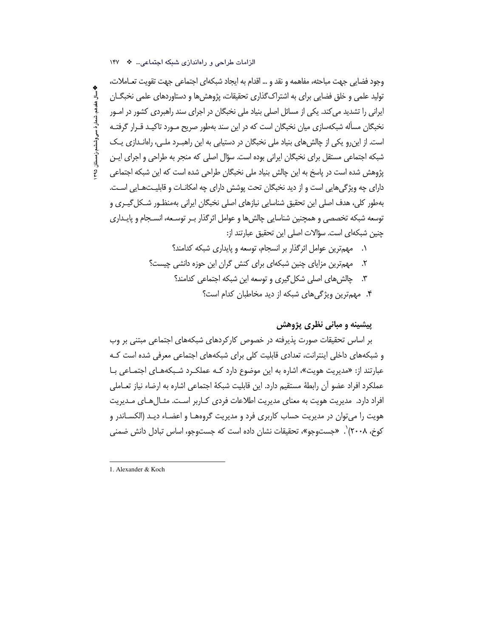**په سال هغدهم، شمار هٔ سی وششم،ز مستان ۹۵** 

وجود فضايي جهت مباحثه، مفاهمه و نقد و … اقدام به ايجاد شبكهاي اجتماعي جهت تقويت تعــاملات، تولید علمی و خلق فضایی برای به اشتراک گذاری تحقیقات، پژوهش ها و دستاوردهای علمی نخبگــان ایرانی را تشدید می کند. یکی از مسائل اصلی بنیاد ملی نخبگان در اجرای سند راهبردی کشور در امـور نخبگان مسأله شبکهسازی میان نخبگان است که در این سند بهطور صریح مـورد تاکیـد قـرار گرفتـه است. از این رو یکی از چالش های بنیاد ملی نخبگان در دستیابی به این راهب رد ملی، راهاندازی یک شبکه اجتماعی مستقل برای نخبگان ایرانی بوده است. سؤال اصلی که منجر به طراحی و اجرای ایـن پژوهش شده است در پاسخ به این چالش بنیاد ملی نخبگان طراحی شده است که این شبکه اجتماعی دارای چه ویژگیهایی است و از دید نخبگان تحت پوشش دارای چه امکانــات و قابلیــتـهــایی اســت. بهطور کلی، هدف اصلی این تحقیق شناسایی نیازهای اصلی نخبگان ایرانی بهمنظـور شـکل گیـری و توسعه شبكه تخصصي و همچنين شناسايي چالش ها و عوامل اثر گذار بـر توسـعه، انسـجام و پايـداري چنین شبکهای است. سؤالات اصلی این تحقیق عبارتند از:

- ٠. مهمترين عوامل اثر گذار بر انسجام، توسعه و پايداري شبكه كدامند؟
- مهمترین مزایای چنین شبکهای برای کنش گران این حوزه دانشی چیست؟  $\cdot$ .۲
	- ۳. چالش های اصلی شکل گیری و توسعه این شبکه اجتماعی کدامند؟
		- ۴. مهمترین ویژگی های شبکه از دید مخاطبان کدام است؟

## پیشینه و مبان*ی* نظری پژوهش

بر اساس تحقیقات صورت پذیرفته در خصوص کارکردهای شبکههای اجتماعی مبتنی بر وب و شبکههای داخلی اینترانت، تعدادی قابلیت کلی برای شبکههای اجتماعی معرفی شده است کـه عبارتند از: «مدیریت هویت»، اشاره به این موضوع دارد کـه عملکـرد شـبکههـای اجتمـاعی بـا عملكرد افراد عضو آن رابطة مستقيم دارد. اين قابليت شبكة اجتماعي اشاره به ارضاء نياز تعـاملي افراد دارد. مدیریت هویت به معنای مدیریت اطلاعات فردی کـاربر اسـت. مثـال۱هـای مــدیریت هویت را می توان در مدیریت حساب کاربری فرد و مدیریت گروههـا و اعضـاء دیـد (الکسـاندر و کوخ، ۲۰۰۸)`. «جستوجو»، تحقیقات نشان داده است که جستوجو، اساس تبادل دانش ضمنی

الزامات طراحی و راهاندازی شبکه اجتماعی... \* ١۴٧

<sup>1.</sup> Alexander & Koch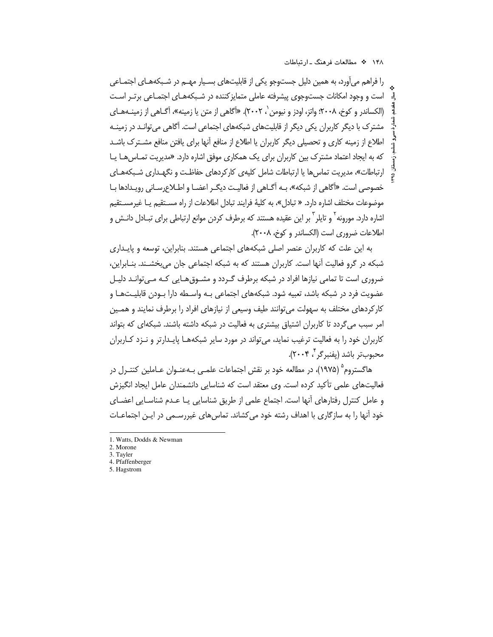را فراهم میآورد، به همین دلیل جستوجو یکی از قابلیتهای بسـیار مهـم در شـبکههـای اجتمـاعی است و وجود امکانات جستوجوی پیشرفته عاملی متمایز کننده در شـبکههـای اجتمـاعی برتـر اسـت (الكساندر و كوخ، ٢٠٠٨؛ واتز، اودز و نيومن '، ٢٠٠٢). «أكاهي از متن يا زمينه»، أگــاهي از زمينـههـاي مشترک با دیگر کاربران یکی دیگر از قابلیتهای شبکههای اجتماعی است. آگاهی می توانـد در زمینـه اطلاع از زمینه کاری و تحصیلی دیگر کاربران یا اطلاع از منافع آنها برای یافتن منافع مشـترک باشـد که به ایجاد اعتماد مشترک بین کاربران برای یک همکاری موفق اشاره دارد. «مدیریت تمـاس6هـا یـا ارتباطات»، مدیریت تماس ها یا ارتباطات شامل کلیهی کارکردهای حفاظت و نگهـداری شـبکههـای خصوصی است. «آگاهی از شبکه»، بـه آگــاهی از فعالیـت دیگــر اعضــا و اطــلاع٫ســانی ٫ویــدادها بــا موضوعات مختلف اشاره دارد. « تبادل»، به كليةً فرايند تبادل اطلاعات از راه مسـتقيم يـا غيرمسـتقيم اشاره دارد. مورونه<sup>۲</sup> و تایلر <sup>۳</sup> بر این عقیده هستند که برطرف کردن موانع ارتباطی برای تبـادل دانـش و اطلاعات ضروري است (الكساندر و كوخ، ٢٠٠٨).

به این علت که کاربران عنصر اصلی شبکههای اجتماعی هستند. بنابراین، توسعه و پایداری شبکه در گرو فعالیت آنها است. کاربران هستند که به شبکه اجتماعی جان میبخشـند. بنـابراین، ضروری است تا تمامی نیازها افراد در شبکه برطرف گـردد و مشـوق هـایی کـه مـی توانـد دلیـل عضویت فرد در شبکه باشد، تعبیه شود. شبکههای اجتماعی بـه واسـطه دارا بـودن قابلیـتهـا و کارکردهای مختلف به سهولت می توانند طیف وسیعی از نیازهای افراد را برطرف نمایند و همـین امر سبب می گردد تا کاربران اشتیاق بیشتری به فعالیت در شبکه داشته باشند. شبکهای که بتواند کاربران خود را به فعالیت ترغیب نماید، میتواند در مورد سایر شبکههـا پایـدارتر و نـزد کـاربران محبوبتر باشد (يفنبرگر ۲۰۰۴).

هاگستروم<sup>۵</sup> (۱۹۷۵)، در مطالعه خود بر نقش اجتماعات علمـي بـهعنـوان عـاملين كنتـرل در فعالیتهای علمی تأکید کرده است. وی معتقد است که شناسایی دانشمندان عامل ایجاد انگیزش و عامل کنترل رفتارهای أنها است. اجتماع علمی از طریق شناسایی یـا عـدم شناسـایی اعضـای خود آنها را به سازگاری با اهداف رشته خود میکشاند. تماس های غیررسـمی در ایــن اجتماعــات

5. Hagstrom

<sup>1.</sup> Watts, Dodds & Newman

<sup>2.</sup> Morone

<sup>3.</sup> Tayler

<sup>4.</sup> Pfaffenberger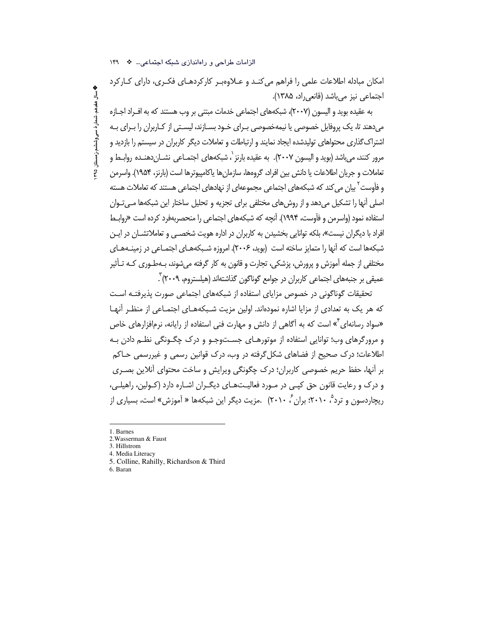امکان مبادله اطلاعات علمی را فراهم می کنـد و عــلاوهبـر کارکردهـای فکـری، دارای کــارکرد اجتماعی نیز میباشد (قانعی راد، ۱۳۸۵).

به عقیده بوید و الیسون (۲۰۰۷)، شبکههای اجتماعی خدمات مبتنی بر وب هستند که به افـراد اجـازه می دهند تا، یک پروفایل خصوصی یا نیمهخصوصی بـرای خـود بسـازند، لیسـتی از کـاربران را بـرای بـه اشتراک گذاری محتواهای تولیدشده ایجاد نمایند و ارتباطات و تعاملات دیگر کاربران در سیستم را بازدید و مرور کنند، می باشد (بوید و الیسون ۲۰۰۷). به عقیده بارنز `، شبکههای اجتمـاعی نشـان دهنـده روابـط و تعاملات و جريان اطلاعات يا دانش بين افراد، گروهها، سازمانها ياكامپيوترها است (بارنز، ۱۹۵۴). واسرمن و فآوست<sup>۲</sup> بیان می کند که شبکههای اجتماعی مجموعهای از نهادهای اجتماعی هستند که تعاملات هسته اصلی آنها را تشکیل می دهد و از روش های مختلفی برای تجزیه و تحلیل ساختار این شبکهها مـی تـوان استفاده نمود (واسرمن و فآوست، ۱۹۹۴). آنچه که شبکههای اجتماعی را منحصربهفرد کرده است «روابط افراد با دیگران نیست»، بلکه توانایی بخشیدن به کاربران در اداره هویت شخصـی و تعاملاتشـان در ایـن شبکهها است که آنها را متمایز ساخته است (بوید، ۲۰۰۶). امروزه شـبکههـای اجتمـاعی در زمینـههـای مختلفي از جمله آموزش و پرورش، پزشكي، تجارت و قانون به كار گرفته ميشوند، بـهطـوري كـه تـأثير عميقي بر جنبههاي اجتماعي كاربران در جوامع گوناگون گذاشتهاند (هيلستروم، ٢٠٠٩) .

تحقیقات گوناگونی در خصوص مزایای استفاده از شبکههای اجتماعی صورت پذیرفتـه اسـت که هر یک به تعدادی از مزایا اشاره نمودهاند. اولین مزیت شـبکههـای اجتمـاعی از منظـر آنهـا «سواد رسانهای<sup>۲</sup>» است که به آگاهی از دانش و مهارت فنی استفاده از رایانه، نرمافزارهای خاص و مرورگرهای وب؛ توانایی استفاده از موتورهـای جســتوجـو و درک چگــونگی نظــم دادن بـه اطلاعات؛ درک صحیح از فضاهای شکل گرفته در وب، درک قوانین رسمی و غیررسمی حـاکم بر آنها، حفظ حریم خصوصی کاربران؛ درک چگونگی ویرایش و ساخت محتوای آنلاین بصـری و درک و رعایت قانون حق کیبی در مـورد فعالیـتھـای دیگـران اشـاره دارد (کـولین، راهیلـی، ریچاردسون و ترد<sup>م</sup> ۲۰۱۰؛ بران<sup>۶</sup> ۲۰۱۰. مزیت دیگر این شبکهها « آموزش» است، بسیاری از

1. Barnes

**په سال هغدهم، شمار هٔ سی وششم،ز مستان ۳۹۵** 

- 4. Media Literacy
- 5. Colline, Rahilly, Richardson & Third
- 6. Baran

الزامات طراحی و راهاندازی شبکه اجتماعی... \* ١۴٩

<sup>2.</sup> Wasserman & Faust

<sup>3.</sup> Hillstrom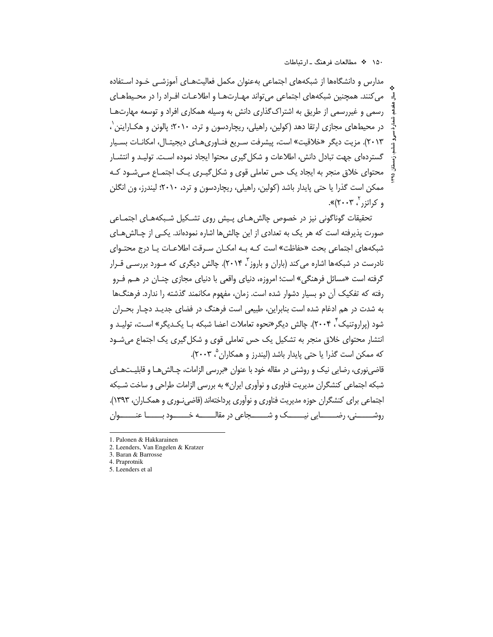مدارس و دانشگاهها از شبکههای اجتماعی بهعنوان مکمل فعالیتهای آموزشـی خـود اسـتفاده می کنند. همچنین شبکههای اجتماعی می تواند مهـارتهـا و اطلاعـات افـراد را در محـیطهـای رسمی و غیررسمی از طریق به اشتراک گذاری دانش به وسیله همکاری افراد و توسعه مهارتهـا در محیطهای مجازی ارتقا دهد (کولین، راهیلی، ریچاردسون و ترد، ۲۰۱۰؛ پالونن و هکـاراینن ٰ، ۲۰۱۳). مزیت دیگر «خلاقیت» است، پیشرفت سـریع فنـاوریِهـای دیجیتـال، امکانـات بسـیار گستردهای جهت تبادل دانش، اطلاعات و شکل گیری محتوا ایجاد نموده است. تولیـد و انتشـار محتوای خلاق منجر به ایجاد یک حس تعاملی قوی و شکل گیـری یـک اجتمـاع مـیشـود کـه ممکن است گذرا یا حتی پایدار باشد (کولین، راهیلی، ریچاردسون و ترد، ۲۰۱۰؛ لیندرز، ون انگلن و کراتزر ، ۲۰۰۳)».

تحقیقات گوناگونی نیز در خصوص چالش هـای پـیش روی تشـکیل شـیکههـای اجتمـاعی صورت پذیرفته است که هر یک به تعدادی از این چالشها اشاره نمودهاند. یکـی از چـالشهــای شبکههای اجتماعی بحث «حفاظت» است کـه بـه امکـان سـرقت اطلاعـات یـا درج محتـوای نادرست در شبکهها اشاره می کند (باران و باروز آ ۲۰۱۴). چالش دیگری که مـورد بررسـی قـرار گرفته است «مسائل فرهنگی» است؛ امروزه، دنیای واقعی با دنیای مجازی چنـان در هــم فـرو رفته که تفکیک آن دو بسیار دشوار شده است. زمان، مفهوم مکانمند گذشته را ندارد. فرهنگها به شدت در هم ادغام شده است بنابراین، طبیعی است فرهنگ در فضای جدیـد دچـار بحـران شود (پراروتنیک<sup>۲</sup>، ۲۰۰۴). چالش دیگر «نحوه تعاملات اعضا شبکه بـا یکـدیگر» اسـت، تولیـد و انتشار محتوای خلاق منجر به تشکیل یک حس تعاملی قوی و شکل گیری یک اجتماع میشـود که ممکن است گذرا یا حتی پایدار باشد (لیندرز و همکاران °، ۲۰۰۳).

قاضی نوری، رضایی نیک و روشنی در مقاله خود با عنوان «بررسی الزامات، چـالش هـا و قابلیـتهـای شبکه اجتماعی کنشگران مدیریت فناوری و نوآوری ایران» به بررسی الزامات طراحی و ساخت شـبکه اجتماعی برای کنشگران حوزه مدیریت فناوری و نوآوری پرداختهاند (قاضی نوری و همکـاران، ۱۳۹۳). روشــــــــني، رضـــــــــايي نيــــــــــك و شــــــــــجاعي در مقالـــــــــه خـــــــــوان \_\_\_\_\_\_

- 4. Praprotnik
- 5. Leenders et al

<sup>1.</sup> Palonen & Hakkarainen

<sup>2.</sup> Leenders, Van Engelen & Kratzer

<sup>3.</sup> Baran & Barrosse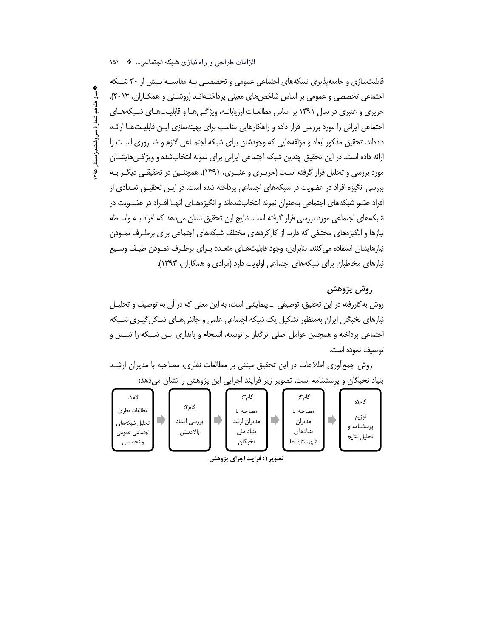### الزامات طراحی و راهاندازی شبکه اجتماعی... \* ١۵١

قابلیتسازی و جامعهپذیری شبکههای اجتماعی عمومی و تخصصـی بـه مقایسـه بـیش از ۳۰ شـبکه اجتماعی تخصصی و عمومی بر اساس شاخصهای معینی پرداختـهانـد (روشـنی و همکـاران، ۲۰۱۴). جریری و عنبری در سال ۱۳۹۱ بر اساس مطالعـات ارزیابانـه، ویژگـه هـا و قابلیـتهـای شـبکههـای اجتماعی ایرانی را مورد بررسی قرار داده و راهکارهایی مناسب برای بهینهسازی ایـن قابلیـتهـا ارائـه دادهاند. تحقیق مذکور ابعاد و مؤلفههایی که وجودشان برای شبکه اجتمـاعی لازم و ضـروری اسـت را ارائه داده است. در این تحقیق چندین شبکه اجتماعی ایرانی برای نمونه انتخابشده و ویژگیهایشـان مورد بررسی و تحلیل قرار گرفته است (حریـری و عنبـری، ۱۳۹۱). همچنـین در تحقیقـی دیگـر بـه بررسی انگیزه افراد در عضویت در شبکههای اجتماعی پرداخته شده است. در ایـن تحقیـق تعـدادی از افراد عضو شبکههای اجتماعی بهعنوان نمونه انتخابشدهاند و انگیزههـای اًنهـا افـراد در عضـویت در شبکههای اجتماعی مورد بررسی قرار گرفته است. نتایج این تحقیق نشان می دهد که افراد بـه واسـطه نیازها و انگیزههای مختلفی که دارند از کارکردهای مختلف شبکههای اجتماعی برای برطـرف نمـودن نیازهایشان استفاده می کنند. بنابراین، وجود قابلیتهـای متعـدد بـرای برطـرف نمـودن طیـف وسـیع نیازهای مخاطبان برای شبکههای اجتماعی اولویت دارد (مرادی و همکاران، ۱۳۹۳).

# روش پژوهش

روش به کاررفته در این تحقیق، توصیفی \_ پیمایشی است، به این معنی که در آن به توصیف و تحلیـل نیازهای نخبگان ایران بهمنظور تشکیل یک شبکه اجتماعی علمی و چالش هـای شـکل گیـری شـبکه اجتماعی پرداخته و همچنین عوامل اصلی اثرگذار بر توسعه، انسجام و پایداری ایـن شـبکه را تبیـین و توصيف نموده است.

روش جمع آوری اطلاعات در این تحقیق مبتنی بر مطالعات نظری، مصاحبه با مدیران ارشـد بنیاد نخبگان و پرسشنامه است. تصویر زیر فرایند اجرایی این پژوهش را نشان میدهد:

| گام\:                         |                      | گام۳:                    | گام؟:                  | گام۵:               |
|-------------------------------|----------------------|--------------------------|------------------------|---------------------|
| مطالعات نظري<br>تحلیل شبکههای | گام۲:<br>بررسى اسناد | مصاحبه با<br>مديران ارشد | مصاحبه با<br>مديران    | توزيع<br>یرسشنامه و |
| اجتماعي عمومي<br>و تخصصی      | بالادستى             | بنیاد ملی<br>نخبگان      | بنیادهای<br>شهرستان ها | تحليل نتايج         |

تصویر ۱: فرایند اجرای پژوهش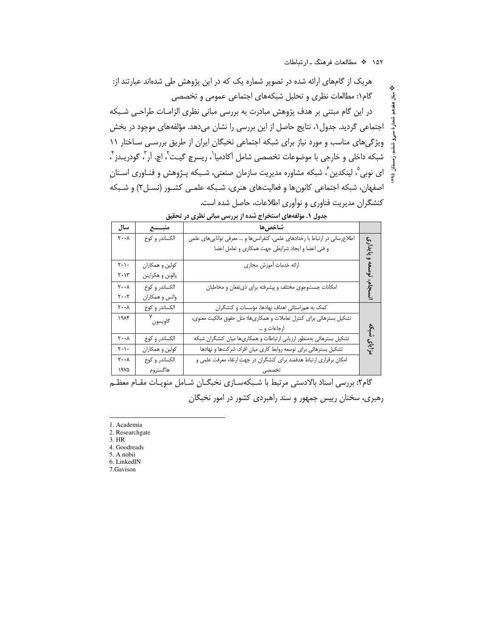هریک از گامهای ارائه شده در تصویر شماره یک که در این پژوهش طی شدهاند عبارتند از: گام۱: مطالعات نظری و تحلیل شبکههای اجتماعی عمومی و تخصصی در این گام مبتنی بر هدف پژوهش مبادرت به بررسی مبانی نظری الزامـات طراحـی شـبکه اجتماعی گردید. جدول ۱، نتایج حاصل از این بررسی را نشان میدهد. مؤلفههای موجود در بخش ویژگیهای مناسب و مورد نیاز برای شبکه اجتماعی نخبگان ایران از طریق بررسی ساختار ١١ شبكه داخلي و خارجي با موضوعات تخصصي شامل أكادميا`، ريسرچ گيـت`، اچ. اَر<sup>۳</sup>، گودريــدز <sup>۴</sup>، ای نوبی ؓ، لینکدین ؒ، شبکه مشاوره مدیریت سازمان صنعتی، شـبکه پـژوهش و فنـاوری اسـتان اصفهان، شبکه اجتماعی کانونها و فعالیتهای هنری، شـبکه علمـی کشـور (نسـل۲) و شـبکه کنشگران مدیریت فناوری و نوآوری اطلاعات، حاصل شده است.

|                                                        | یت               | الابهرانسي فليبسي فلتسرق سر<br>بالمولات المراجعة المتواطن المستراتين       |         |
|--------------------------------------------------------|------------------|----------------------------------------------------------------------------|---------|
| سال                                                    | منبسسع           | شاخصها                                                                     |         |
| $\mathbf{y} \cdot \mathbf{y}$                          | الكساندر و كوخ   | اطلاعرسانی در ارتباط با رخدادهای علمی، کنفرانسها و … معرفی تواناییهای علمی | ĉ       |
|                                                        |                  | و فنی اعضا و ایجاد شرایطی جهت همکاری و تعامل اعضا                          | ع:<br>ج |
| $\mathbf{r} \cdot \mathbf{r}$                          | كولين و همكاران  | ارائه خدمات أموزش مجازى                                                    |         |
| $\mathbf{Y}\boldsymbol{\cdot} \mathbf{Y}^{\mathrm{r}}$ | پالونن و هکراينن |                                                                            |         |
| $\mathbf{y} \cdot \mathbf{y}$                          | الكساندر و كوخ   | امکانات جستوجوی مختلف و پیشرفته برای ذی نفعان و مخاطبان                    | نسجام   |
| $\mathbf{y} \cdot \mathbf{y}$                          | واتس و همكاران   |                                                                            |         |
| $\mathbf{y} \cdot \mathbf{y}$                          | الكساندر و كوخ   | کمک به همراستائی اهداف نهادها، مؤسسات و کنشگران                            |         |
| ۱۹۸۴                                                   | v<br>گاويسون     | تشکیل بسترهائی برای کنترل تعاملات و همکاریها؛ مثل حقوق مالکیت معنوی،       |         |
|                                                        |                  | ارجاعات و …                                                                | ۺؙڮ     |
| $\mathbf{y} \cdot \mathbf{y}$                          | الكساندر و كوخ   | تشکیل بسترهائی بهمنظور ارزیابی ارتباطات و همکاریها میان کنشگران شبکه       |         |
| $\mathbf{Y}\cdot\mathbf{V}\cdot$                       | كولين و همكاران  | تشکیل بسترهائی برای توسعه روابط کاری میان افراد، شرکتها و نهادها           | مزاياى  |
| $\mathbf{y} \cdot \mathbf{y}$                          | الكساندر و كوخ   | امکان برقراری ارتباط هدفمند برای کنشگران در جهت ارتقاء معرفت علمی و        |         |
| ۱۹۷۵                                                   | هاگستروم         |                                                                            |         |

جدول ١. مؤلفههای استخراج شده از بررسی مبانی نظری در تحقیق

گام۲: بررسی اسناد بالادستی مرتبط با شـبکهسـازی نخبگـان شـامل منویـات مقـام معظـم رهبری، سخنان رییس جمهور و سند راهبردی کشور در امور نخبگان

1. Academia

2. Researchgate

3. HR

4. Goodreads 5. A nobii

6. LinkedIN

7.Gavison

ᆿ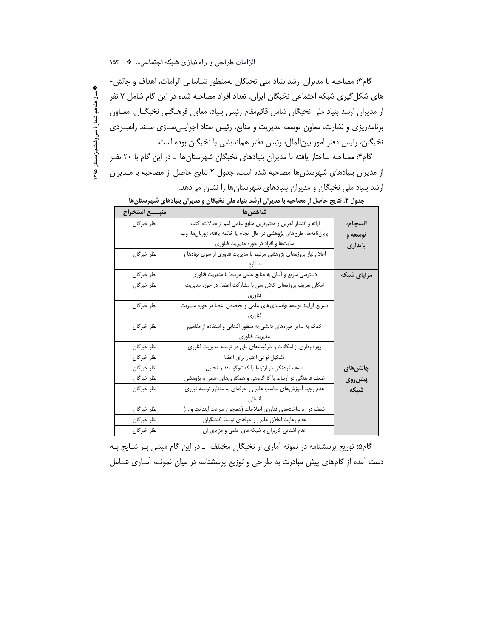**په سال هغدهم، شمار هٔ سی وششم،زمستان ۴۹۵** 

گام۳: مصاحبه با مدیران ارشد بنیاد ملی نخبگان بهمنظور شناسایی الزامات، اهداف و چالش-های شکل گیری شبکه اجتماعی نخبگان ایران. تعداد افراد مصاحبه شده در این گام شامل ۷ نفر از مدیران ارشد بنیاد ملی نخبگان شامل قائممقام رئیس بنیاد، معاون فرهنگــی نخبگــان، معــاون برنامهریزی و نظارت، معاون توسعه مدیریت و منابع، رئیس ستاد اجرایهیسازی سند راهب ردی نخبگان، رئيس دفتر امور بينالملل، رئيس دفتر همانديشي با نخبگان بوده است.

گام۴: مصاحبه ساختار یافته با مدیران بنیادهای نخبگان شهرستانها \_در این گام با ۲۰ نفـر از مدیران بنیادهای شهرستانها مصاحبه شده است. جدول ۲ نتایج حاصل از مصاحبه با مـدیران ارشد بنیاد ملی نخبگان و مدیران بنیادهای شهرستانها را نشان میدهد.

|            | شاخصها                                                               |             |
|------------|----------------------------------------------------------------------|-------------|
| نظر خبرگان | ارائه و انتشار آخرین و معتبرترین منابع علمی اعم از مقالات، کتب،      | انسجام،     |
|            | پایاننامهها، طرحهای پژوهشی در حال انجام یا خاتمه یافته، ژورنالها، وب | توسعه و     |
|            | سایتها و افراد در حوزه مدیریت فناوری                                 | پايدارى     |
| نظر خبرگان | اعلام نیاز پروژههای پژوهشی مرتبط با مدیریت فناوری از سوی نهادها و    |             |
|            | صنايع                                                                |             |
| نظر خبرگان | دسترسی سریع و آسان به منابع علمی مرتبط با مدیریت فناوری              | مزایای شبکه |
| نظر خبرگان | امکان تعریف پروژههای کلان ملی با مشارکت اعضاء در حوزه مدیریت         |             |
|            | فناوري                                                               |             |
| نظر خبرگان | تسریع فرآیند توسعه توانمندیهای علمی و تخصص اعضا در حوزه مدیریت       |             |
|            | فناوري                                                               |             |
| نظر خبرگان | کمک به سایر حوزههای دانشی به منظور آشنایی و استفاده از مفاهیم        |             |
|            | مديريت فناورى                                                        |             |
| نظر خبرگان | بهرهبرداری از امکانات و ظرفیتهای ملی در توسعه مدیریت فناوری          |             |
| نظر خبرگان | تشكيل نوعي اعتبار براي اعضا                                          |             |
| نظر خبرگان | ضعف فرهنگی در ارتباط با گفتوگو، نقد و تحلیل                          | چالش&ای     |
| نظر خبرگان | ضعف فرهنگی در ارتباط با کارگروهی و همکاریهای علمی و پژوهشی           | پیش روی     |
| نظر خبرگان | عدم وجود آموزشهای مناسب علمی و حرفهای به منظور توسعه نیروی           | شبكه        |
|            |                                                                      |             |
| نظر خبرگان | ضعف در زیرساختهای فناوری اطلاعات (همچون سرعت اینترنت و )             |             |
| نظر خبرگان | عدم رعایت اخلاق علمی و حرفهای توسط کنشگران                           |             |
| نظر خبرگان | عدم أشنایی کاربران با شبکههای علمی و مزایای أن                       |             |

جدول ۲. نتایج حاصل از مصاحبه با مدیران ارشد بنیاد ملی نخبگان و مدیران بنیادهای شهرستانها

گام۵: توزیع پرسشنامه در نمونه آماری از نخبگان مختلف \_در این گام مبتنی بـر نتـایج بـه دست آمده از گامهای پیش مبادرت به طراحی و توزیع پرسشنامه در میان نمونـه آمـاری شـامل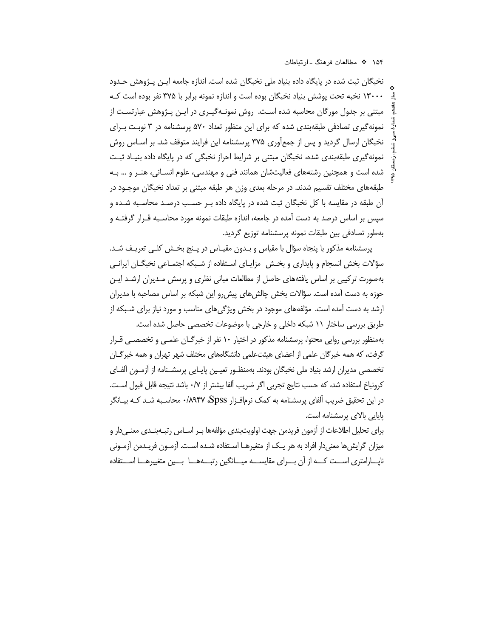نخبگان ثبت شده در پایگاه داده بنیاد ملی نخبگان شده است. اندازه جامعه ایـن پـژوهش حـدود ۱۳۰۰۰ نخبه تحت پوشش بنیاد نخبگان بوده است و اندازه نمونه برابر با ۳۷۵ نفر بوده است ک مبتنی بر جدول مورگان محاسبه شده است. روش نمونـهگیـری در ایـن پـژوهش عبارتسـت از نمونه گیری تصادفی طبقهبندی شده که برای این منظور تعداد ۵۷۰ پرسشنامه در ۳ نوبت برای نخبگان ارسال گردید و پس از جمعآوری ۳۷۵ پرسشنامه این فرایند متوقف شد. بر اسـاس روش نمونه گیری طبقهبندی شده، نخبگان مبتنی بر شرایط احراز نخبگی که در پایگاه داده بنیاد ثبت شده است و همچنین رشتههای فعالیتشان همانند فنی و مهندسی، علوم انسـانی، هنـر و … بـه طبقههای مختلف تقسیم شدند. در مرحله بعدی وزن هر طبقه مبتنی بر تعداد نخبگان موجـود در آن طبقه در مقایسه با کل نخبگان ثبت شده در پایگاه داده بـر حسـب درصـد محاسـبه شـده و سپس بر اساس درصد به دست آمده در جامعه، اندازه طبقات نمونه مورد محاسـبه قـرار گرفتـه و بەطور تصادفى بين طبقات نمونه پرسشنامه توزيع گرديد.

پرسشنامه مذکور با پنجاه سؤال با مقیاس و بـدون مقیـاس در پـنج بخـش کلـی تعریـف شـد. سؤالات بخش انسجام و پایداری و بخـش ِ مزایـای اسـتفاده از شـبکه اجتمـاعی نخبگـان ایرانـی بهصورت ترکیبی بر اساس یافتههای حاصل از مطالعات مبانی نظری و پرسش مـدیران ارشـد ایـن حوزه به دست آمده است. سؤالات بخش چالشهای پیش٫رو این شبکه بر اساس مصاحبه با مدیران ارشد به دست آمده است. مؤلفههای موجود در بخش ویژگیهای مناسب و مورد نیاز برای شـبکه از طریق بررسی ساختار ۱۱ شبکه داخلی و خارجی با موضوعات تخصصی حاصل شده است. بهمنظور بررسی روایی محتوا، پرسشنامه مذکور در اختیار ۱۰ نفر از خبرگـان علمـی و تخصصـی قـرار گرفت، که همه خبرگان علمی از اعضای هیئتعلمی دانشگاههای مختلف شهر تهران و همه خبرگــان تخصصی مدیران ارشد بنیاد ملی نخبگان بودند. بهمنظـور تعیـین پایـایی پرسشـنامه از آزمـون آلفـای

كرونباخ استفاده شد، كه حسب نتايج تجربي اگر ضريب آلفا بيشتر از ٠/٧ باشد نتيجه قابل قبول اسـت. در این تحقیق ضریب آلفای پرسشنامه به کمک نرم|فـزار Spss\۰/۸۹۴۷ محاسـبه شـد کـه بیــانگر پایایی بالای پرسشنامه است.

برای تحلیل اطلاعات از آزمون فریدمن جهت اولویتبندی مؤلفهها بـر اسـاس رتبــهبنــدی معنــیدار و میزان گرایش ها معنیدار افراد به هر یـک از متغیرهـا اسـتفاده شـده اسـت. آزمـون فریـدمن آزمـونی نایارامتری است که از آن بوای مقایسه میانگین رتبهها بسین متغییرها استفاده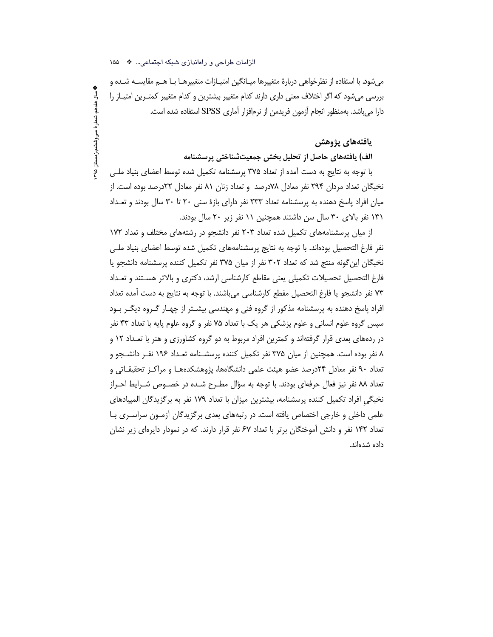**په سال هغدهم، شمار هٔ سی وششم،زمستان ۴۹۵** 

میشود. با استفاده از نظرخواهی دربارهٔ متغییرها میـانگین امتیـازات متغییرهـا بـا هــم مقایســه شــده و بررسی میشود که اگر اختلاف معنی داری دارند کدام متغییر بیشترین و کدام متغییر کمتـرین امتیــاز را دارا می باشد. به منظور انجام آزمون فریدمن از نرمافزار آماری SPSS استفاده شده است.

#### يافتههاي يژوهش

#### الف) یافتههای حاصل از تحلیل بخش جمعیتشناختی پرسشنامه

با توجه به نتايج به دست آمده از تعداد ۳۷۵ پرسشنامه تكميل شده توسط اعضاى بنياد ملـى نخبگان تعداد مردان ۲۹۴ نفر معادل ۷۸درصد و تعداد زنان ۸۱ نفر معادل ۲۲درصد بوده است. از میان افراد پاسخ دهنده به پرسشنامه تعداد ۲۳۳ نفر دارای بازهٔ سنی ۲۰ تا ۳۰ سال بودند و تعـداد ١٣١ نفر بالای ٣٠ سال سن داشتند همچنين ١١ نفر زير ٢٠ سال بودند.

از میان پرسشنامههای تکمیل شده تعداد ۲۰۳ نفر دانشجو در رشتههای مختلف و تعداد ۱۷۲ نفر فارغ التحصیل بودهاند. با توجه به نتایج پرسشنامههای تکمیل شده توسط اعضای بنیاد ملـی نخبگان این گونه منتج شد که تعداد ۳۰۲ نفر از میان ۳۷۵ نفر تکمیل کننده پرسشنامه دانشجو یا فارغ التحصيل تحصيلات تكميلي يعنى مقاطع كارشناسي ارشد، دكترى و بالاتر هستند و تعـداد ٧٣ نفر دانشجو يا فارغ التحصيل مفطع كارشناسي مي باشند. با توجه به نتايج به دست آمده تعداد افراد پاسخ دهنده به پرسشنامه مذکور از گروه فنی و مهندسی بیشـتر از چهـار گـروه دیگـر بـود سپس گروه علوم انسانی و علوم پزشکی هر یک با تعداد ۷۵ نفر و گروه علوم پایه با تعداد ۴۳ نفر در ردههای بعدی قرار گرفتهاند و کمترین افراد مربوط به دو گروه کشاورزی و هنر با تعـداد ۱۲ و ۸ نفر بوده است. همچنین از میان ۳۷۵ نفر تکمیل کننده پرسشـنامه تعـداد ۱۹۶ نفـر دانشـجو و تعداد ۹۰ نفر معادل ۲۴درصد عضو هیئت علمی دانشگاهها، پژوهشکدههـا و مراکـز تحقیقـاتی و تعداد ٨٨ نفر نيز فعال حرفهاي بودند. با توجه به سؤال مطـرح شـده در خصــوص شــرايط احــراز نخبگی افراد تکمیل کننده پرسشنامه، بیشترین میزان با تعداد ۱۷۹ نفر به برگزیدگان المپیادهای علمی داخلی و خارجی اختصاص یافته است. در رتبههای بعدی برگزیدگان آزمـون سراسـری بـا تعداد ۱۴۲ نفر و دانش آموختگان برتر با تعداد ۶۷ نفر قرار دارند. که در نمودار دایرهای زیر نشان داده شدهاند.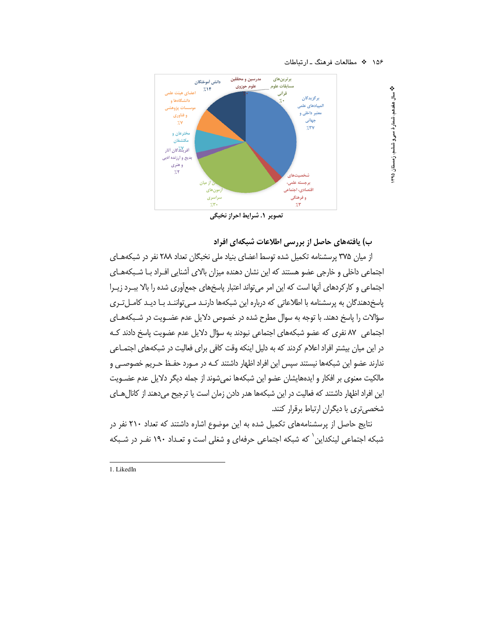❖

ٳ

هفدهم، شمارهٔ سی و ششم، زمستان ۹۵



تصوير ١. شرايط احراز نخبگي

ب) یافتههای حاصل از بررسی اطلاعات شبکهای افراد

از میان ۳۷۵ پرسشنامه تکمیل شده توسط اعضای بنیاد ملی نخبگان تعداد ۲۸۸ نفر در شبکههای اجتماعی داخلی و خارجی عضو هستند که این نشان دهنده میزان بالای آشنایی افـراد بـا شـبکههـای اجتماعی و کارکردهای آنها است که این امر میتواند اعتبار پاسخهای جمعآوری شده را بالا بب رد زیـرا یاسخ<هندگان به پرسشنامه با اطلاعاتی که درباره این شبکهها دارنـد مـی تواننـد بـا دیـد کامـل تـری سؤالات را پاسخ دهند. با توجه به سوال مطرح شده در خصوص دلایل عدم عضــویت در شــبکههــای اجتماعی , ٨٧ نفری که عضو شبکههای اجتماعی نبودند به سؤال دلایل عدم عضویت پاسخ دادند ک در این میان بیشتر افراد اعلام کردند که به دلیل اینکه وقت کافی برای فعالیت در شبکههای اجتمـاعی ندارند عضو این شبکهها نیستند سپس این افراد اظهار داشتند کـه در مـورد حفـظ حـریم خصوصـی و مالکیت معنوی بر افکار و ایدههایشان عضو این شبکهها نمی شوند از جمله دیگر دلایل عدم عضـویت این افراد اظهار داشتند که فعالیت در این شبکهها هدر دادن زمان است یا ترجیح میدهند از کانال هـای شخصی تری با دیگران ارتباط برقرار کنند.

نتایج حاصل از پرسشنامههای تکمیل شده به این موضوع اشاره داشتند که تعداد ۲۱۰ نفر در شبکه اجتماعی لینکداین ِ` که شبکه اجتماعی حرفهای و شغلی است و تعـداد ۱۹۰ نفـر در شـبکه

1. LikedIn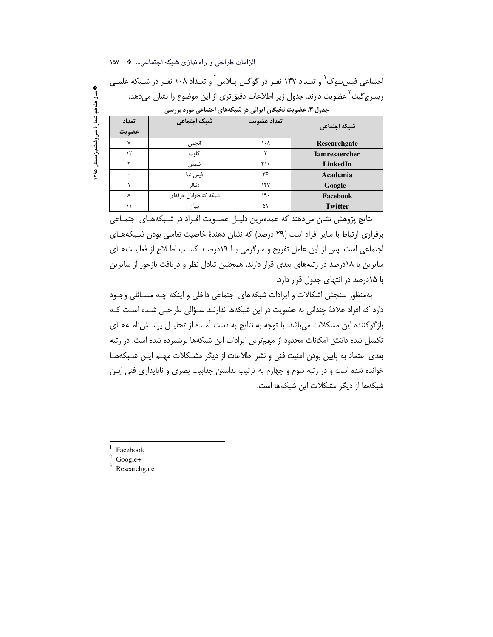الزامات طراحی و راهاندازی شبکه اجتماعی... \* ١۵٧

اجتماعی فیس بوک<sup>٬</sup> و تعـداد ۱۴۷ نفـر در گوگـل پـلاس٬ و تعـداد ۱۰۸ نفـر در شـبکه علمـی ریسرچگیت<sup>۳</sup> عضویت دارند. جدول زیر اطلاعات دقیقتری از این موضوع را نشان میدهد. جدول ۳. عضویت نخبگان ایرانی در شبکههای اجتماعی مورد بررسی

| شبکه اجتماعی         | تعداد عضويت             | شبكه اجتماعي           | تعداد<br>عضويت |
|----------------------|-------------------------|------------------------|----------------|
| Researchgate         | $\lambda \cdot \lambda$ | انجمن                  | $\mathsf{v}$   |
| <b>Iamresaercher</b> |                         | كلوب                   | ۱٢             |
| LinkedIn             | $\mathsf{y}\cdot$       | شمس                    |                |
| Academia             | ۳۶                      | فيس نما                | $\bullet$      |
| Google+              | $\gamma$                | دنبالر                 |                |
| Facebook             | ۱۹۰                     | شبکه کتابخوانان حرفهای |                |
| <b>Twitter</b>       | ۵١                      | تبيان                  |                |
|                      |                         |                        |                |

نتایج پژوهش نشان میدهند که عمدهترین دلیـل عضـویت افـراد در شـبکههـای اجتمـاعی برقراری ارتباط با سایر افراد است (۲۹ درصد) که نشان دهندهٔ خاصیت تعاملی بودن شبکههای اجتماعی است. پس از این عامل تفریح و سرگرمی بـا ۱۹درصـد کسـب اطـلاع از فعالیـتهـای سایرین با ۱۸درصد در رتبههای بعدی قرار دارند. همچنین تبادل نظر و دریافت بازخور از سایرین با ۱۵درصد در انتهای جدول قرار دارد.

بهمنظور سنجش اشكالات و ايرادات شبكههاى اجتماعى داخلي و اينكه چـه مسـائلي وجـود دارد که افراد علاقهٔ چندانی به عضویت در این شبکهها ندارنـد سـؤالی طراحـی شـده اسـت کـه بازگوکننده این مشکلات می باشد. با توجه به نتایج به دست آمـده از تحلیـل پرسـشiنامـههـای تکمیل شده داشتن امکانات محدود از مهمترین ایرادات این شبکهها برشمرده شده است. در رتبه بعدی اعتماد به پایین بودن امنیت فنی و نشر اطلاعات از دیگر مشکلات مهم ایـن شـبکههـا خوانده شده است و در رتبه سوم و چهارم به ترتیب نداشتن جذابیت بصری و ناپایداری فنی ایـن شبكهها از دیگر مشكلات این شبكهها است.

Facebook

**پ** سال هفدهم، شمار هٔ سی وششیم،ز مستان ۱۳۹۵

Google+

 $3$ . Researchgate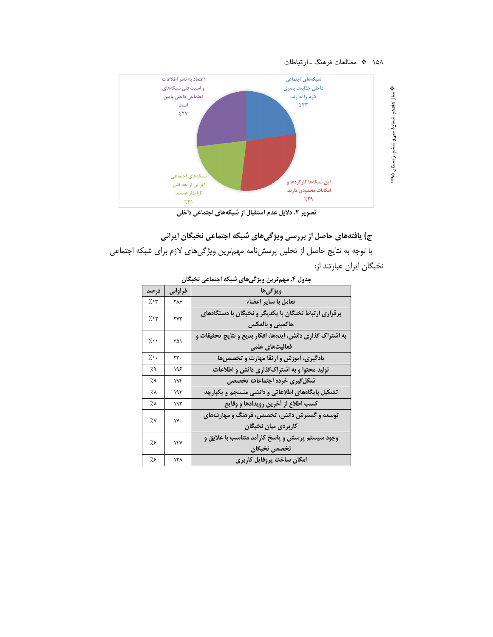

تصویر ۲. دلایل عدم استقبال از شبکههای اجتماعی داخلی

# ج) یافتههای حاصل از بررسی ویژگیهای شبکه اجتماعی نخبگان ایرانی

با توجه به نتايج حاصل از تحليل پرسشiامه مهمترين ويژگيهاي لازم براي شبكه اجتماعي نخبگان ايران عبارتند از:

| در صد      | فراواني | ويژگىھا                                                    |
|------------|---------|------------------------------------------------------------|
| ۱۳٪        | ۲۸۶     | تعامل با ساير اعضاء                                        |
| 7/17       | ٢٧٣     | برقراری ارتباط نخبگان با یکدیگر و نخبگان با دستگاههای      |
|            |         | حاکمیتی و بالعکس                                           |
| ジハ         | ۲۵۱     | به اشتراک گذاری دانش، ایدهها، افکار بدیع و نتایج تحقیقات و |
|            |         | فعالیتهای علمی                                             |
| $\gamma$ . | ٢٣.     | یادگیری، آموزش و ارتقا مهارت و تخصصها                      |
| %،         | ۱۹۶     | تولید محتوا و به اشتراک گذاری دانش و اطلاعات               |
| %،         | ۱۹۴     | شکل گیری خرده اجتماعات تخصصی                               |
| ٪۸         | ۱۹۳     | تشکیل پایگاههای اطلاعاتی و دانشی منسجم و یکپارچه           |
| ٪۸         | ۱۹۳     | كسب اطلاع از أخرين رويدادها و وقايع                        |
| ٪۷         | ١٧٠     | توسعه و گسترش دانش، تخصص، فرهنگ و مهارتهای                 |
|            |         | كاربردى ميان نخبگان                                        |
| ۶؉         | ۱۴۷     | وجود سیستم پرسش و پاسخ کارأمد متناسب با علایق و            |
|            |         | تخصص نخبگان                                                |
| ۶؉         | ۱۳۸     | امكان ساخت پروفايل كاربري                                  |

جدول ۴. مهم ترین ویژگیهای شبکه اجتماعی نخبگان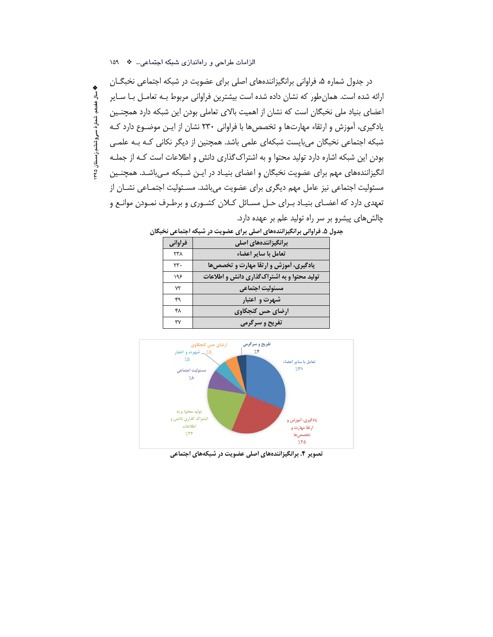**په سال هغدهم، شمارهٔ سی وششم،زمستان ۹۵** 

در جدول شماره ۵، فراوانی برانگیزانندههای اصلی برای عضویت در شبکه اجتماعی نخبگــان ارائه شده است. همانطور که نشان داده شده است بیشترین فراوانی مربوط بـه تعامـل بـا سـایر اعضای بنیاد ملی نخبگان است که نشان از اهمیت بالای تعاملی بودن این شبکه دارد همچنین یادگیری، آموزش و ارتقاء مهارتها و تخصصها با فراوانی ۲۳۰ نشان از ایـن موضـوع دارد کـه شبکه اجتماعی نخبگان میبایست شبکهای علمی باشد. همچنین از دیگر نکانی کـه بـه علمـی بودن این شبکه اشاره دارد تولید محتوا و به اشتراک گذاری دانش و اطلاعات است کـه از جملـه انگیزانندههای مهم برای عضویت نخبگان و اعضای بنیـاد در ایـن شـبکه مـیباشـد. همچنـین مسئولیت اجتماعی نیز عامل مهم دیگری برای عضویت میباشد. مسـئولیت اجتمـاعی نشــان از تعهدی دارد که اعضـای بنیـاد بـرای حـل مسـائل کـلان کشـوری و برطـرف نمـودن موانـع و چالش های پیشرو بر سر راه تولید علم بر عهده دارد.

| فراواني | برانگیزانندههای اصلی                         |
|---------|----------------------------------------------|
| ۲۳۸     | تعامل با سایر اعضاء                          |
| ۲۳.     | یادگیری، آموزش و ارتقا مهارت و تخصصها        |
| ۱۹۶     | تولید محتوا و به اشتراک گذاری دانش و اطلاعات |
| ٧٢      | مسئوليت اجتماعي                              |
| ۴۹      | شهرت و اعتبار                                |
| ۴۸      | ارضای حس کنجکاوی                             |
| ٣٧      | تفریح و سرگرمی                               |

جدول ۵. فراوانی برانگیزانندههای اصلی برای عضویت در شبکه اجتماعی نخبگان



تصویر ۴. برانگیزانندههای اصلی عضویت در شبکههای اجتماعی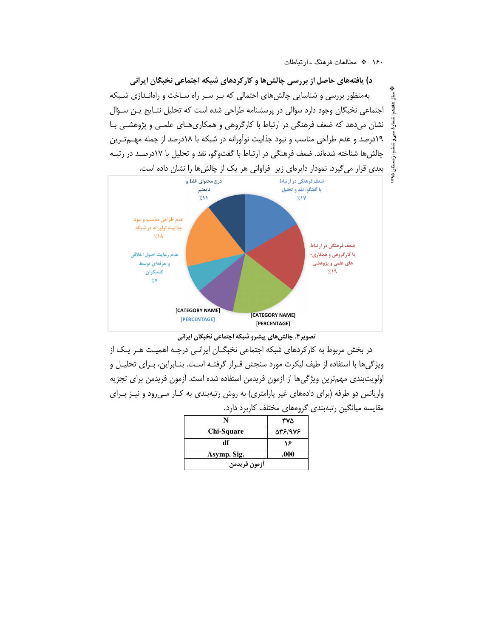د) یافتههای حاصل از بررسی چالشها و کارکردهای شبکه اجتماعی نخبگان ایرانی بهمنظور بررسی و شناسایی چالش های احتمالی که بـر سـر راه سـاخت و راهانـدازی شـبکه اجتماعی نخبگان وجود دارد سؤالی در پرسشنامه طراحی شده است که تحلیل نتـایج پــن ســؤال نشان می دهد که ضعف فرهنگی در ارتباط با کارگروهی و همکاری هـای علمـی و پژوهشـی بـا ۱۹درصد و عدم طراحی مناسب و نبود جذابیت نوآورانه در شبکه با ۱۸درصد از جمله مهــمتـرین چالش ها شناخته شدهاند. ضعف فرهنگی در ارتباط با گفتوگو، نقد و تحلیل با ۱۷درصـد در رتبـه بعدی قرار می گیرد. نمودار دایرهای زیر فراوانی هر یک از چالش ها را نشان داده است. ۴۹۵



تصویر۴. چالش های پیشرو شبکه اجتماعی نخبگان ایرانی

در بخش مربوط به کارکردهای شبکه اجتماعی نخبگــان ایرانــی درجــه اهمیــت هــر یــک از ویژگیها با استفاده از طیف لیکرت مورد سنجش قـرار گرفتـه اسـت. بنـابراین، بـرای تحلیـل و اولويتبندي مهمترين ويژگيها از أزمون فريدمن استفاده شده است. أزمون فريدمن براي تجزيه واریانس دو طرفه (برای دادههای غیر پارامتری) به روش رتبهبندی به کـار مـیرود و نیـز بـرای مقایسه میانگین رتبهبندی گروههای مختلف کاربرد دارد.

| N                 | ۳۷۵     |
|-------------------|---------|
| <b>Chi-Square</b> | 978/978 |
| df                | ۱۶      |
| Asymp. Sig.       | .000    |
| أزمون فريدمن      |         |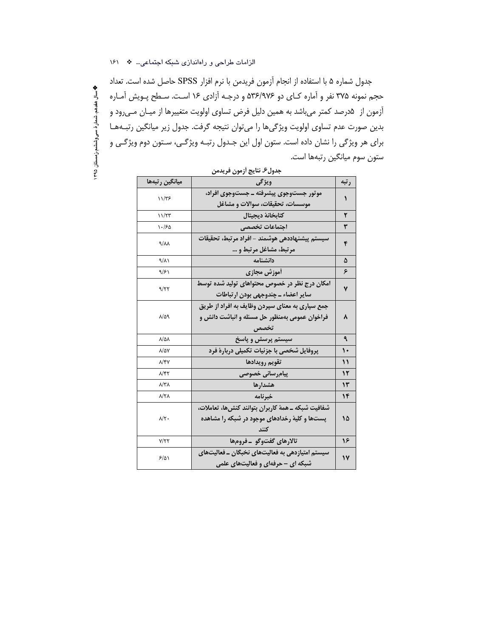جدول شماره ۵ با استفاده از انجام آزمون فریدمن با نرم افزار SPSS حاصل شده است. تعداد حجم نمونه ۳۷۵ نفر و آماره کـاي دو ۵۳۶/۹۷۶ و درجـه آزادي ۱۶ اسـت. سـطح پـويش آمـاره آزمون از ۵درصد کمتر میباشد به همین دلیل فرض تساوی اولویت متغییرها از میـان مـیرود و بدین صورت عدم تساوی اولویت ویژگیها را میتوان نتیجه گرفت. جدول زیر میانگین رتبـههـا برای هر ویژگی را نشان داده است. ستون اول این جـدول رتبـه ویژگـی، سـتون دوم ویژگـی و ستون سوم ميانگين رتبهها است.

**په سال هغدهم، شمار ۀ سی وششم،زمستان ۱۳۹۵** 

| جدول۶. نتايج أزمون فريدمن |                                                      |              |  |  |  |  |  |
|---------------------------|------------------------------------------------------|--------------|--|--|--|--|--|
| ميانگين رتبهها            | ويژگى                                                | رتبه         |  |  |  |  |  |
| 11/٣۶                     | موتور جستوجوي پيشرفته ـ جستوجوي افراد،               | ١            |  |  |  |  |  |
|                           | موسسات، تحقيقات، سوالات و مشاغل                      |              |  |  |  |  |  |
| ۱۱/۲۳                     | كتابخانهٔ ديجيتال                                    | ۲            |  |  |  |  |  |
| ۱۰/۶۵                     | اجتماعات تخصصي                                       | ٣            |  |  |  |  |  |
| $4/\lambda\lambda$        | سيستم پيشنهاددهي هوشمند – افراد مرتبط، تحقيقات       | ۴            |  |  |  |  |  |
|                           | مرتبط، مشاغل مرتبط و …                               |              |  |  |  |  |  |
| ۹/۸۱                      | دانشنامه                                             | ۵            |  |  |  |  |  |
| ۹/۶۱                      | أموزش مجازي                                          | ۶            |  |  |  |  |  |
| 9/۲۲                      | امکان درج نظر در خصوص محتواهای تولید شده توسط        | ٧            |  |  |  |  |  |
|                           | ساير اعضاء ــ چندوجهي بودن ارتباطات                  |              |  |  |  |  |  |
|                           | جمع سپاري به معناي سپردن وظايف به افراد از طريق      |              |  |  |  |  |  |
| $\lambda/\Delta$ 9        | فراخوان عمومي بهمنظور حل مسئله و انباشت دانش و       | ۸            |  |  |  |  |  |
|                           | تخصص                                                 |              |  |  |  |  |  |
| $\lambda/\Delta\lambda$   | سیستم پرسش و پاسخ                                    | ٩            |  |  |  |  |  |
| ۸/۵۷                      | پروفایل شخصی با جزئیات تکمیلی دربارهٔ فرد            | $\mathbf{L}$ |  |  |  |  |  |
| λ/۴۷                      | تقويم رويدادها                                       | ١١           |  |  |  |  |  |
| ۸/۴۲                      | پیامرسانی خصوصی                                      | ۱۲           |  |  |  |  |  |
| ۸/۳۸                      | هشدارها                                              | ١٣           |  |  |  |  |  |
| ۸/۲۸                      | خبرنامه                                              | ۱۴           |  |  |  |  |  |
|                           | شفافيت شبكه ــ همهٔ كاربران بتوانند كنش6ها، تعاملات، |              |  |  |  |  |  |
| $\lambda/\Upsilon$ .      | پستها و کلیهٔ رخدادهای موجود در شبکه را مشاهده       | ۱۵           |  |  |  |  |  |
|                           |                                                      |              |  |  |  |  |  |
| Y/YY                      | تالارهای گفتوگو -فرومها                              | ۱۶           |  |  |  |  |  |
| 5/01                      | سیستم امتیازدهی به فعالیتهای نخبگان ــ فعالیتهای     | ۱۷           |  |  |  |  |  |
|                           | شبکه ای – حرفهای و فعالیتهای علمی                    |              |  |  |  |  |  |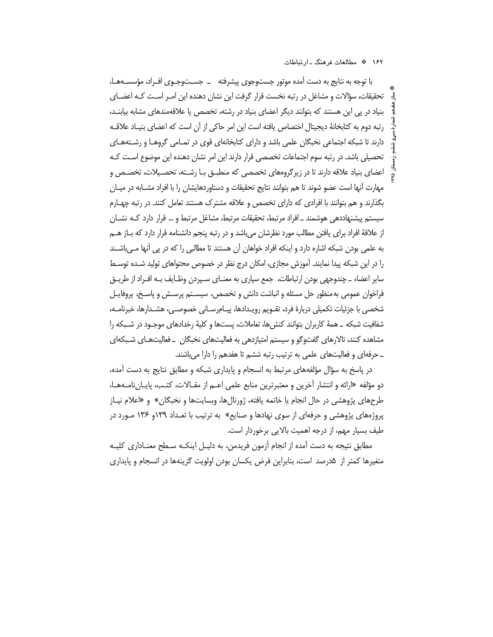با توجه به نتایج به دست آمده موتور جستوجوی پیشرفته \_\_ جســتوجـوی افـراد، مؤسســههـا، تحقیقات، سؤالات و مشاغل در رتبه نخست قرار گرفت این نشان دهنده این امـر اسـت کـه اعضـای بنیاد در یی این هستند که بتوانند دیگر اعضای بنیاد در رشته، تخصص یا علاقهمندهای مشابه بیابنـد، رتبه دوم به كتابخانهٔ ديجيتال اختصاص يافته است اين امر حاكي از آن است كه اعضاى بنيـاد علاقــه دارند تا شبکه اجتماعی نخبگان علمی باشد و دارای کتابخانهای قوی در تمـامی گروهـا و رشـتههـای تحصیلی باشد. در رتبه سوم اجتماعات تخصصی قرار دارند این امر نشان دهنده این موضوع اسـت کـه اعضای بنیاد علاقه دارند تا در زیرگروههای تخصصی که منطبـق بـا رشـته، تحصـیلات، تخصـص و مهارت آنها است عضو شوند تا هم بتوانند نتايج تحقيقات و دستاوردهايشان را با افراد مشــابه در ميــان بگذارند و هم بتوانند با افرادی که دارای تخصص و علاقه مشترک هستند تعامل کنند. در رتبه چهـارم سیستم پیشنهاددهی هوشمند ـ افراد مرتبط، تحقیقات مرتبط، مشاغل مرتبط و … قرار دارد کـه نشــان از علاقهٔ افراد برای یافتن مطالب مورد نظرشان میباشد و در رتبه پنجم دانشنامه قرار دارد که بــاز هــم به علمی بودن شبکه اشاره دارد و اینکه افراد خواهان آن هستند تا مطالبی را که در پی آنها مـیباشـند را در این شبکه پیدا نمایند. آموزش مجازی، امکان درج نظر در خصوص محتواهای تولید شـده توسـط سایر اعضاء ــ چندوجهی بودن ارتباطات، جمع سپاری به معنــای ســپردن وظــایف بــه افــراد از طریــق فراخوان عمومی به منظور حل مسئله و انباشت دانش و تخصص، سیسـتم پرسـش و پاسـخ، پروفایـل شخصی با جزئیات تکمیلی دربارهٔ فرد، تقـویم رویـدادها، پیـامرسـانی خصوصـی، هشـدارها، خبرنامـه، شفافیت شبکه ــ همهٔ کاربران بتوانند کنش۵ها، تعاملات، پستها و کلیهٔ رخدادهای موجـود در شـبکه را مشاهده کنند، تالارهای گفتوگو و سیستم امتیازدهی به فعالیتهای نخبگان \_فعالیتهـای شـبکهای ـ حرفهای و فعالیتهای علمی به ترتیب رتبه ششم تا هفدهم را دارا می باشند.

در پاسخ به سؤال مؤلفههای مرتبط به انسجام و پایداری شبکه و مطابق نتایج به دست آمده، دو مؤلفه «ارائه و انتشار آخرین و معتبرترین منابع علمی اعــم از مقــالات، کتـب، پایــانiامــهـا، طرحهای پژوهشی در حال انجام یا خاتمه یافته، ژورنالها، وبسایتها و نخبگان» و «اعلام نیـاز پروژههای پژوهشی و حرفهای از سوی نهادها و صنایع» به ترتیب با تعـداد ۱۳۹و ۱۳۶ مـورد در طیف بسیار مهم، از درجه اهمیت بالایی برخوردار است.

مطابق نتیجه به دست آمده از انجام آزمون فریدمن، به دلیـل اینکــه ســطح معنــاداری کلیــه متغیرها کمتر از ۵درصد است، بنابراین فرض یکسان بودن اولویت گزینهها در انسجام و پایداری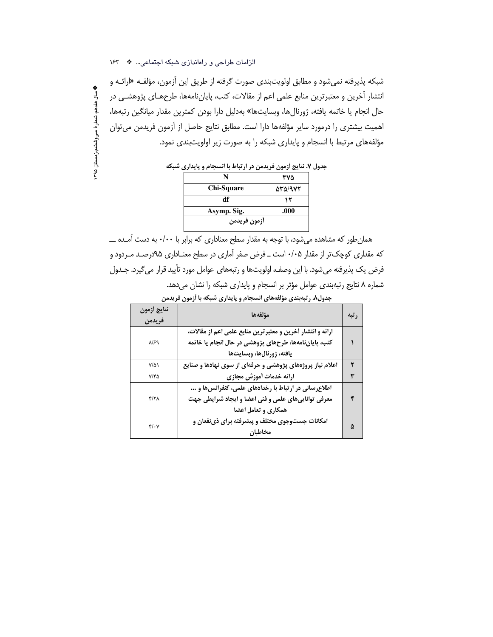شبكه پذيرفته نمي شود و مطابق اولويتبندي صورت گرفته از طريق اين آزمون، مؤلفـه «ارائـه و انتشار أخرین و معتبرترین منابع علمی اعم از مقالات، کتب، پایاننامهها، طرحهـای پژوهشـی در حال انجام يا خاتمه يافته، ژورنالها، وبسايتها» بهدليل دارا بودن كمترين مقدار ميانگين رتبهها، اهمیت بیشتری را درمورد سایر مؤلفهها دارا است. مطابق نتایج حاصل از آزمون فریدمن می توان مؤلفههای مرتبط با انسجام و پایداری شبکه را به صورت زیر اولویتبندی نمود.

جدول ۷. نتایج آزمون فریدمن در ارتباط با انسجام و پایداری شبکه

|              | ۳۷۵    |
|--------------|--------|
| Chi-Square   | 531972 |
| df           | ۱۲     |
| Asymp. Sig.  | .000   |
| آزمون فريدمن |        |

همان طور که مشاهده می شود، با توجه به مقدار سطح معناداری که برابر با ۰/۰۰ به دست آمـده ـــ که مقداری کوچک تر از مقدار ۰/۰۵ است ــ فرض صفر آماری در سطح معنــاداری ۹۵درصـد مــردود و فرض یک پذیرفته می شود. با این وصف، اولویتها و رتبههای عوامل مورد تأیید قرار می گیرد. جـدول شماره ۸ نتایج رتبهبندی عوامل مؤثر بر انسجام و پایداری شبکه را نشان میدهد.

|  |  |  |  |  | جدول۸. رتبهبندی مؤلفههای انسجام و پایداری شبکه با اَزمون فریدمن |
|--|--|--|--|--|-----------------------------------------------------------------|
|--|--|--|--|--|-----------------------------------------------------------------|

| نتايج أزمون<br>فريدمن       | مؤلفهها                                                                                                                                          | رتبه |
|-----------------------------|--------------------------------------------------------------------------------------------------------------------------------------------------|------|
| $\lambda$ /۶۹               | ارائه و انتشار أخرين و معتبرترين منابع علمي اعم از مقالات،<br>کتب، پایاننامهها، طرحهای پژوهشی در حال انجام یا خاتمه<br>يافته، ژورنالها، وبسايتها |      |
| $Y/\Delta$                  | اعلام نیاز پروژههای پژوهشی و حرفهای از سوی نهادها و صنایع                                                                                        | ۲    |
| ۷/۴۵                        | ارائه خدمات أموزش مجازى                                                                                                                          | ٣    |
| ۴/۲۸                        | اطلاعرسانی در ارتباط با رخدادهای علمی، کنفرانسها و …<br>معرفی تواناییهای علمی و فنی اعضا و ایجاد شرایطی جهت<br>همکاری و تعامل اعضا               |      |
| $\mathfrak{r}/\mathfrak{r}$ | امکانات جستوجوی مختلف و پیشرفته برای ذینفعان و<br>مخاطبان                                                                                        | Λ    |

**په سال هغدهم، شمار ۀ سی وششم،ز مستان ۱۳۹۵**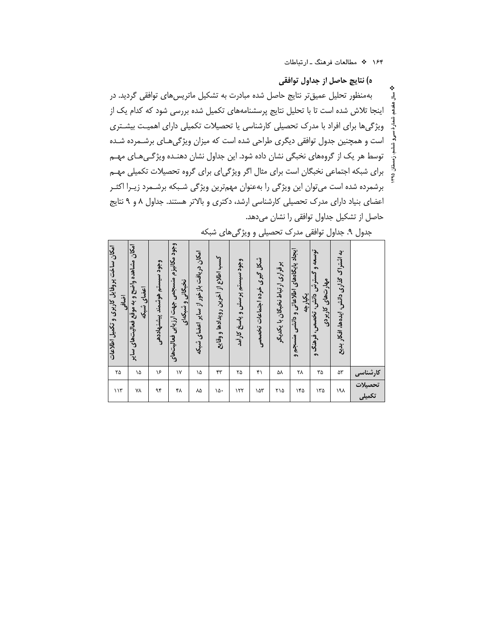ᆿ

ه) نتایچ حاصل از جداول توافقی بهمنظور تحلیل عمیقتر نتایج حاصل شده مبادرت به تشکیل ماتریسهای توافقی گردید. در اینجا تلاش شده است تا با تحلیل نتایج پرسشنامههای تکمیل شده بررسی شود که کدام یک از ویژگیها برای افراد با مدرک تحصیلی کارشناسی یا تحصیلات تکمیلی دارای اهمیت بیشتری است و همچنین جدول توافقی دیگری طراحی شده است که میزان ویژگیهای برشـمرده شـده توسط هر یک از گروههای نخبگی نشان داده شود. این جداول نشان دهنـده ویژگـیهـای مهـم برای شبکه اجتماعی نخبگان است برای مثال اگر ویژگیای برای گروه تحصیلات تکمیلی مهـم برشمرده شده است می¤وان این ویژگی را بهعنوان مهم¤رین ویژگی شـبکه برشـمرد زیـرا اکثـر اعضای بنیاد دارای مدرک تحصیلی کارشناسی ارشد، دکتری و بالاتر هستند. جداول ۸ و ۹ نتایج حاصل از تشکیل جداول توافقی را نشان میدهد.

| امکان ساخت پروفایل کاربری و تکمیل اطلاعات<br>آضافی | امکان مشاهده واضح و به موقع فعالیتهای سایر<br>اعضای شبکه | وجود سيستم هوشمند ييشنهاددهي | وجود مكانيزم منسجمي جهت ارزيابي فعاليت هاي<br>نخبگانی و شبکهای | امکان دریافت بازخور از سایر اعضای شبکه | كسب اطلاع از أخرين رويدادها و وقايع | وجود سيستم پرسش و پاسخ کارأمد | شکل گیری خرده اجتماعات تخصصی | برقراری ارتباط نخبگان با یکدیگر | ایجاد پایگاههای اطلاعاتی و دانشی منسجم و<br>يكيارچه | توسعه و<br>گسترش دانش، تخصص، فرهنگ و<br>مهار تنطای کاربردی | به اثستراک گذاری دانش، ایدهها، افکار بدیع |                           |
|----------------------------------------------------|----------------------------------------------------------|------------------------------|----------------------------------------------------------------|----------------------------------------|-------------------------------------|-------------------------------|------------------------------|---------------------------------|-----------------------------------------------------|------------------------------------------------------------|-------------------------------------------|---------------------------|
| ۲۵                                                 | ۱۵                                                       | ۱۶                           | $\gamma$                                                       | ۱۵                                     | ۴۳                                  | ۲۵                            | ۴۱                           | ۵۸                              | ۲۸                                                  | ٣۵                                                         | ۵۳                                        | كارشناسى                  |
| 117                                                | ٧٨                                                       | ۹۴                           | ۴۸                                                             | ٨۵                                     | ۱۵۰                                 | 157                           | ۱۵۳                          | ۲۱۵                             | ۱۴۵                                                 | ۱۳۵                                                        | ۱۹۸                                       | تحصیلات<br>تکمیل <i>ی</i> |

جدول ۹. جداول توافقی مدرک تحصیلی و ویژگیهای شبکه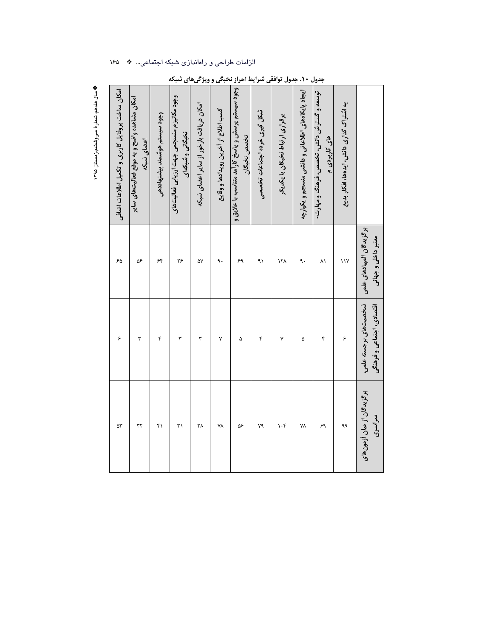|                                                                | برگزیدگان المپیادهای علمی<br>معتبر داخلی و جهانی | شخصیتهای برجسته علمی،<br>اقتصادی، اجتماعی و فرهنگی | برگزیدگان از میان اُزمونهائ<br>سراسری |
|----------------------------------------------------------------|--------------------------------------------------|----------------------------------------------------|---------------------------------------|
| به اشتراک گذاری دانش، ایدهها، افکار بدیع                       | $\sqrt{}$                                        | ۶                                                  | ٩۹                                    |
| توسعه و گسترش دانش، تخصص، فرهنگ و مهارت-<br>های کاربردی م      | ۸١                                               | ۴                                                  | ۶۹                                    |
| ایجاد پایگاههای اطلاعاتی و دانشی منسجم و یکپارچه               | ٩.                                               | ۵                                                  | ٧٨                                    |
| برقراری ارتباط نخبگان با یکدیگر                                | ۱۲۸                                              | ٧                                                  | $\mathcal{N}$                         |
| شکل گیری خرده اجتماعات تخصصی                                   | ۹١                                               | ۴                                                  | ٧٩                                    |
| وجود سیستم پرسش و پاسخ کارأمد متناسب با علایق و<br>تخصص نخبكان | ۶۹                                               | ۵                                                  | ۵۶                                    |
| كسب اطلاع از آخرين رويدادها و وقايع                            | ٩.                                               | ٧                                                  | ٧٨                                    |
| امکان دریافت بازخور از سایر اعضای شبکه                         | ۵٧                                               | ٣                                                  | ٣٨                                    |
| وجود مكانيزم منسجمي جهت ارزيابي فعاليت هاي<br>نخبگانی و شبکهای | ۲۶                                               | ٣                                                  | $\uparrow$                            |
| وجود سيستم هوشمند پيشنهاددهي                                   | ۶۴                                               | ۴                                                  | ۴۱                                    |
| امکان مشاهده واضح و به موقع فعالیت های سایر<br>اعضای شبکه      | ۵۶                                               | ۳                                                  | ٣٢                                    |
| امكان ساخت پروفايل كاربرى و تكميل اطلاعات اضافى                | ۶۵                                               | ۶                                                  | ۵۳                                    |
|                                                                |                                                  |                                                    |                                       |

# جدول ۱۰. جدول توافقی شرایط احراز نخبگی و ویژگیهای شبکه

الزامات طراحی و راهاندازی شبکه اجتماعی… \* ١۶۵

**په سال هفدهم، شمار هٔ سی وششم،ز مستان ۱۳۹۵**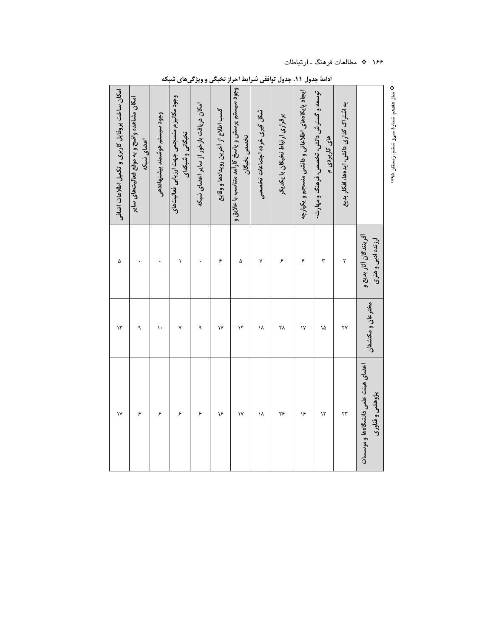| امكان ساخت پروفايل كاربرى و تكميل اطلاعات اضافى | امکان مشاهده واضح و به موقع فعالیت های سایر<br>اعضای شبکه | وجود سيستم هوشمند پيشنهاددهي | وجود مكانيزم منسجمي جهت ارزيابي فعاليت هاي<br>نخبگانی و شبکهای | امکان دریافت بازخور از سایر اعضای شبکه | كسب اطلاع از آخرين رويدادها و وقايع | <b>وجود سیستم پرسش و پاسخ کارآمد متناسب با علایق و</b><br>تخصص نخبگان | شکل گیری خرده اجتماعات تخصصی | برقراری ارتباط نخبگان با یکدیگر | ایجاد پایگاههای اطلاعاتی و دانشی منسجم و یکپارچه | توسعه و گسترش دانش، تخصص، فرهنگ و مهارت-<br>های کاربردی م | به اشتراک گذاری دانش، ایدهها، افکار بدیع |                                                       | <b>م؟</b> سال هفدهم، شمارهٔ سی9 ششم، زمستان ۱۳۹۵ |
|-------------------------------------------------|-----------------------------------------------------------|------------------------------|----------------------------------------------------------------|----------------------------------------|-------------------------------------|-----------------------------------------------------------------------|------------------------------|---------------------------------|--------------------------------------------------|-----------------------------------------------------------|------------------------------------------|-------------------------------------------------------|--------------------------------------------------|
| ۵                                               |                                                           |                              | $\backslash$                                                   |                                        | $\epsilon$                          | ۵                                                                     | ٧                            | ۶                               | ۶                                                | ٣                                                         | ٣                                        | آفرینندگان آثار بدیع و<br>ارزنده ادبی و هنری          |                                                  |
| $\mathcal{N}$                                   | ٩                                                         | ١.                           | ٧                                                              | ٩                                      | $\mathsf{N}$                        | $\mathcal{N}$                                                         | ١٨                           | ۲۸                              | ۱٧                                               | ۱۵                                                        | ۲۷                                       | مخترعان و مكتشفان                                     |                                                  |
| $\mathsf{N}$                                    | ۶                                                         | ۶                            | ۶                                                              | ۶                                      | ۱۶                                  | ۱٧                                                                    | ١٨                           | ۲۶                              | ۱۶                                               | $\mathcal{N}$                                             | ٢٣                                       | اعضاى هيئت علمى دانشگاهها و موسسات<br>پژوهشي و فناوري |                                                  |

ادامهٔ جدول ۱۱. جدول توافقی شرایط احراز نخبگی و ویژگیهای شبکه

۱۶۶ \* مطالعات فرهنگ ـ ارتباطات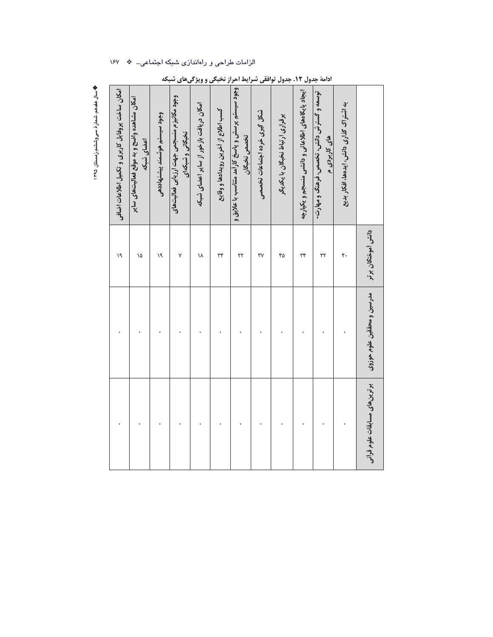|  |  |  |  |  | الزامات طراحی و راهاندازی شبکه اجتماعی… * ١۶٧ |  |
|--|--|--|--|--|-----------------------------------------------|--|
|--|--|--|--|--|-----------------------------------------------|--|

| امکان ساخت پروفایل کاربری و تکمیل اطلاعات اضافی | امکان مشاهده واضح و به موقع فعالیت های سایر<br>اعضای شبکه | وجود سيستم هوشمند پيشنهاددهي | وجود مكانيزم منسجمي جهت ارزيابي فعاليت هاي<br>نخبگانی و شبکهای | امکان دریافت بازخور از سایر اعضای شبکه | كسب اطلاع از آخرين رويدادها و وقايع | وجود سيستم پرسش و پاسخ کارأمد متناسب با علايق و<br>تخصص نخبگان | شکل گیری خرده اجتماعات تخصصی | برقراری ارتباط نخبگان با یکدیگر | ایجاد پایگاههای اطلاعاتی و دانشی منسجم و یکپارچه | توسعه و گسترش دانش، تخصص، فرهنگ و مهارت-<br>های کاربردی م | به اثستراک گذاری دانش، ایدهها، افکار بدیع |                               |
|-------------------------------------------------|-----------------------------------------------------------|------------------------------|----------------------------------------------------------------|----------------------------------------|-------------------------------------|----------------------------------------------------------------|------------------------------|---------------------------------|--------------------------------------------------|-----------------------------------------------------------|-------------------------------------------|-------------------------------|
| ١٩                                              | ۱۵                                                        | ١٩                           | ٧                                                              | ١٨                                     | ٣۴                                  | $\mathbf{r}$                                                   | ٣٧                           | ۴۵                              | ٣۴                                               | ٣٢                                                        | ۴۰                                        | دانش أموختگان برتر            |
|                                                 |                                                           |                              |                                                                |                                        |                                     |                                                                |                              |                                 |                                                  |                                                           |                                           | مدرسين و محققين علوم حوزوى    |
|                                                 |                                                           |                              |                                                                |                                        |                                     |                                                                |                              |                                 |                                                  |                                                           |                                           | برترین های مسابقات علوم قرأنی |

|  | <b>ادامهٔ جدول ۱۲. جدول توافقی شرایط احراز نخبگی و ویژگیهای شبکه</b> |  |  |  |
|--|----------------------------------------------------------------------|--|--|--|
|--|----------------------------------------------------------------------|--|--|--|

**په سال هغده**م، شمار هٔ سی وششم،ز مستان ۱۳۹۵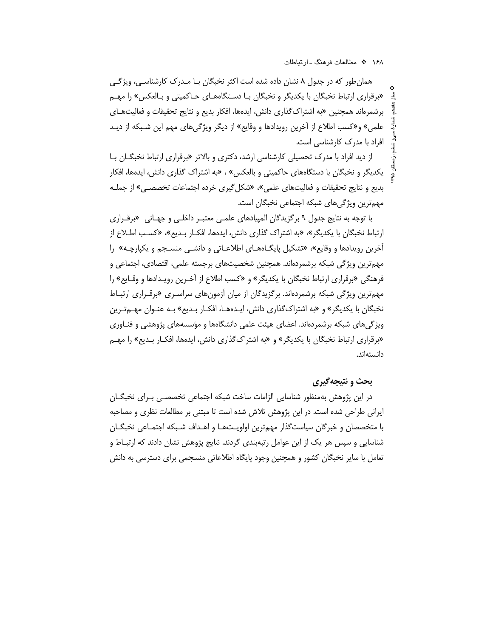همان طور که در جدول ۸ نشان داده شده است اکثر نخبگان بـا مـدرک کارشناسـی، ویژگـی «برقراری ارتباط نخبگان با یکدیگر و نخبگان بـا دسـتگاههـای حـاکمیتی و بـالعکس» را مهـم برشمرهاند همچنین «به اشتراک گذاری دانش، ایدهها، افکار بدیع و نتایج تحقیقات و فعالیتهـای علمي» و«كسب اطلاع از آخرين رويدادها و وقايع» از ديگر ويژگيهاي مهم اين شـبكه از ديـد افراد با مدرک کارشناسی است.

از دید افراد با مدرک تحصیلی کارشناسی ارشد، دکتری و بالاتر «برقراری ارتباط نخبگــان بــا یکدیگر و نخبگان با دستگاههای حاکمیتی و بالعکس» ، «به اشتراک گذاری دانش، ایدهها، افکار بدیع و نتایج تحقیقات و فعالیتهای علمی»، «شکل گیری خرده اجتماعات تخصصبی» از جملـه مهمترین ویژگیهای شبکه اجتماعی نخبگان است.

با توجه به نتایج جدول ۹ برگزیدگان المپیادهای علمـی معتبـر داخلـی و جهـانی «برقـراری ارتباط نخبگان با يكديگر»، «به اشتراک گذاري دانش، ايدهها، افكـار بـديع»، «كسـب اطـلاع از آخرین رویدادها و وقایع»، «تشکیل پایگـاههـای اطلاعـاتی و دانشـی منسـجم و یکپارچـه» را مهمترین ویژگی شبکه برشمردهاند. همچنین شخصیتهای برجسته علمی، اقتصادی، اجتماعی و فرهنگی «برقراری ارتباط نخبگان با یکدیگر» و «کسب اطلاع از آخـرین رویـدادها و وقـایع» را مهمترین ویژگی شبکه برشمردهاند. برگزیدگان از میان آزمونهای سراسـری «برقـراری ارتبـاط نخبگان با یکدیگر» و «به اشتراکگذاری دانش، ایـدههـا، افکـار بـدیع» بـه عنـوان مهـمتـرین ویژگیهای شبکه برشمردهاند. اعضای هیئت علمی دانشگاهها و مؤسسههای پژوهشی و فنـاوری «برقراری ارتباط نخبگان با یکدیگر» و «به اشتراک گذاری دانش، ایدهها، افکـار بـدیع» را مهـم دانستەاند.

### يحث و نتيجه گيري

در این پژوهش بهمنظور شناسایی الزامات ساخت شبکه اجتماعی تخصصـی بـرای نخبگــان ایرانی طراحی شده است. در این پژوهش تلاش شده است تا مبتنی بر مطالعات نظری و مصاحبه با متخصصان و خبرگان سیاستگذار مهمترین اولویـتـهـا و اهـداف شـبکه اجتمـاعی نخبگــان شناسایی و سپس هر یک از این عوامل رتبهبندی گردند. نتایج پژوهش نشان دادند که ارتبـاط و تعامل با سایر نخبگان کشور و همچنین وجود پایگاه اطلاعاتی منسجمی برای دسترسی به دانش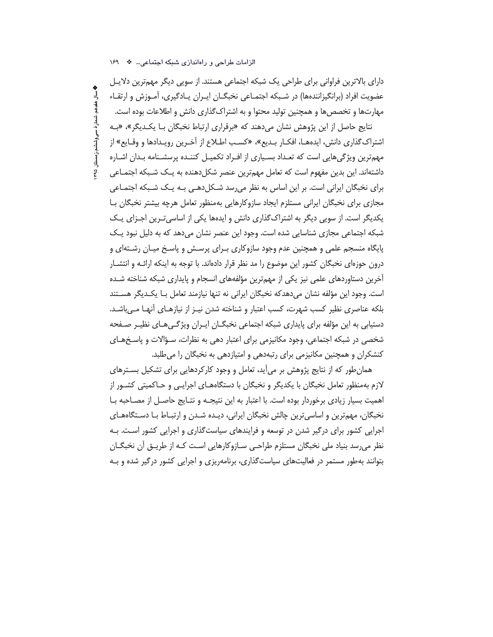دارای بالاترین فراوانی برای طراحی یک شبکه اجتماعی هستند. از سویی دیگر مهمترین دلایـل عضویت افراد (برانگیزانندهها) در شـبکه اجتمـاعی نخبگـان ایــران یــادگیری، آمــوزش و ارتقــاء مهارتها و تخصصها و همچنین تولید محتوا و به اشتراک گذاری دانش و اطلاعات بوده است.

نتایج حاصل از این پژوهش نشان میدهند که «برقراری ارتباط نخبگان بـا یکـدیگر»، «بـه اشتراك گذاري دانش، ايدههـا، افكـار بـديع»، «كسـب اطـلاع از آخـرين رويـدادها و وقـايع» از مهمترین ویژگیهایی است که تعـداد بسـیاری از افـراد تکمیـل کننـده پرسشـنامه بـدان اشـاره داشتهاند. این بدین مفهوم است که تعامل مهمترین عنصر شکلدهنده به یـک شـبکه اجتمـاعی برای نخبگان ایرانی است. بر این اساس به نظر می سد شـکل(هـی بـه یـک شـبکه اجتمـاعی مجازی برای نخبگان ایرانی مستلزم ایجاد سازوکارهایی بهمنظور تعامل هرچه بیشتر نخبگان بـا یکدیگر است. از سویی دیگر به اشتراکگذاری دانش و ایدهها یکی از اساسی تـرین اجـزای یـک شبکه اجتماعی مجازی شناسایی شده است. وجود این عنصر نشان میدهد که به دلیل نبود یـک پایگاه منسجم علمی و همچنین عدم وجود سازوکاری بـرای پرسـش و پاسـخ میـان رشـتهای و درون حوزهای نخبگان کشور این موضوع را مد نظر قرار دادهاند. با توجه به اینکه ارائـه و انتشــار آخرین دستاوردهای علمی نیز یکی از مهمترین مؤلفههای انسجام و پایداری شبکه شناخته شـده است. وجود این مؤلفه نشان میدهدکه نخبگان ایرانی نه تنها نیازمند تعامل بـا یکـدیگر هسـتند بلکه عناصری نظیر کسب شهرت، کسب اعتبار و شناخته شدن نیـز از نیازهـای أنهـا مـه باشـد. دستیابی به این مؤلفه برای پایداری شبکه اجتماعی نخبگــان ایــران ویژگــیهــای نظیــر صــفحه شخصی در شبکه اجتماعی، وجود مکانیزمی برای اعتبار دهی به نظرات، سـؤالات و پاسـخهـای کنشکران و همچنین مکانیزمی برای رتبهدهی و امتیازدهی به نخبگان را میطلبد.

همان طور که از نتایج پژوهش بر می آید، تعامل و وجود کارکردهایی برای تشکیل بسـترهای لازم بهمنظور تعامل نخبگان با یکدیگر و نخبگان با دستگاههـای اجرایـی و حـاکمیتی کشـور از اهمیت بسیار زیادی برخوردار بوده است. با اعتبار به این نتیجـه و نتـایج حاصـل از مصـاحبه بـا نخبگان، مهمترین و اساسی ترین چالش نخبگان ایرانی، دیـده شـدن و ارتبـاط بـا دسـتگاههـای اجرایی کشور برای درگیر شدن در توسعه و فرایندهای سیاستگذاری و اجرایی کشور است. بـه نظر میرسد بنیاد ملی نخبگان مستلزم طراحـی سـازوکارهایی اسـت کـه از طریـق آن نخبگـان بتوانند بهطور مستمر در فعالیتهای سیاستگذاری، برنامهریزی و اجرایی کشور درگیر شده و بـه

الزامات طراحی و راهاندازی شبکه اجتماعی به ١۶٩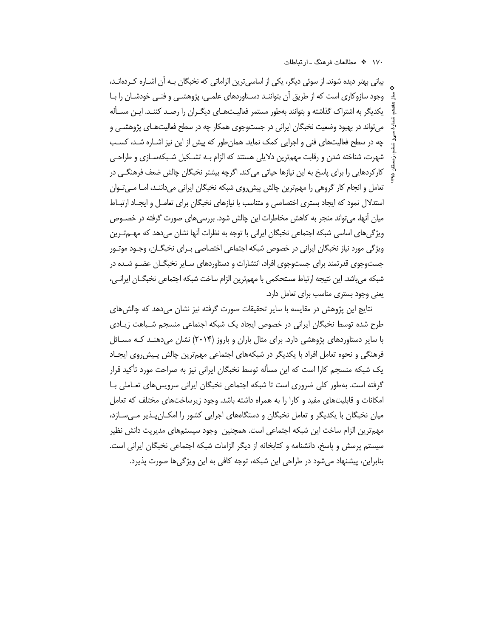بیانی بهتر دیده شوند. از سوئی دیگر، یکی از اساسیترین الزاماتی که نخبگان بـه آن اشـاره کـردهانـد، وجود سازوکاری است که از طریق آن بتواننـد دسـتاوردهای علمـی، پژوهشـی و فنـی خودشـان را بـا یکدیگر به اشتراک گذاشته و بتوانند بهطور مستمر فعالیـتهـای دیگـران را رصـد کننـد. ایـن مسـأله می تواند در بهبود وضعیت نخبگان ایرانی در جستوجوی همکار چه در سطح فعالیتهـای پژوهشـی و چه در سطح فعالیتهای فنی و اجرایی کمک نماید. همان طور که پیش از این نیز اشـاره شـد، کسـب شهرت، شناخته شدن و رقابت مهمترین دلایلی هستند که الزام بـه تشــکیل شـبکهســازی و طراحــی کارکردهایی را برای پاسخ به این نیازها حیاتی می کند. اگرچه بیشتر نخبگان چالش ضعف فرهنگـی در تعامل و انجام کار گروهی را مهمترین چالش پیش روی شبکه نخبگان ایرانی میداننـد، امـا مـی تـوان استدلال نمود که ایجاد بستری اختصاصی و متناسب با نیازهای نخبگان برای تعامـل و ایجـاد ارتبـاط میان آنها، می تواند منجر به کاهش مخاطرات این چالش شود. بررسی های صورت گرفته در خصـوص ویژگیهای اساسی شبکه اجتماعی نخبگان ایرانی با توجه به نظرات آنها نشان میدهد که مهــمتـرین ویژگی مورد نیاز نخبگان ایرانی در خصوص شبکه اجتماعی اختصاصی بـرای نخبگــان، وجــود موتــور جستوجوی قدرتمند برای جستوجوی افراد، انتشارات و دستاوردهای سـایر نخبگـان عضـو شـده در شبكه مي باشد. اين نتيجه ارتباط مستحكمي با مهمترين الزام ساخت شبكه اجتماعي نخبگــان ايرانــي، یعنی وجود بستری مناسب برای تعامل دارد.

نتايج اين پژوهش در مقايسه با ساير تحقيقات صورت گرفته نيز نشان مىدهد كه چالش هاى طرح شده توسط نخبگان ایرانی در خصوص ایجاد یک شبکه اجتماعی منسجم شـباهت زیـادی با سایر دستاوردهای پژوهشی دارد. برای مثال باران و باروز (۲۰۱۴) نشان میدهنـد کـه مسـائل فرهنگی و نحوه تعامل افراد با یکدیگر در شبکههای اجتماعی مهمترین چالش پـیش٫روی ایجـاد یک شبکه منسجم کارا است که این مسأله توسط نخبگان ایرانی نیز به صراحت مورد تأکید قرار گرفته است. بهطور کلی ضروری است تا شبکه اجتماعی نخبگان ایرانی سرویس های تعـاملی بــا امکانات و قابلیتهای مفید و کارا را به همراه داشته باشد. وجود زیرساختهای مختلف که تعامل میان نخبگان با یکدیگر و تعامل نخبگان و دستگاههای اجرایی کشور را امکـانِپـذیر مـیسـازد، مهمترین الزام ساخت این شبکه اجتماعی است. همچنین وجود سیستمهای مدیریت دانش نظیر سیستم پرسش و پاسخ، دانشنامه و کتابخانه از دیگر الزامات شبکه اجتماعی نخبگان ایرانی است. بنابراین، پیشنهاد می شود در طراحی این شبکه، توجه کافی به این ویژگی ها صورت پذیرد.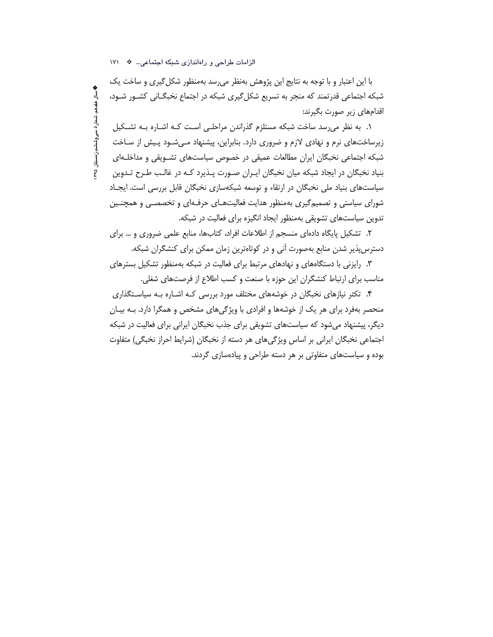**په سال هغدهم، شمار ۀ سی وششم،ز مستان ۹۵** 

با این اعتبار و با توجه به نتایج این پژوهش بهنظر می رسد بهمنظور شکل گیری و ساخت یک شبکه اجتماعی قدرتمند که منجر به تسریع شکل گیری شبکه در اجتماع نخبگــانی کشــور شــود، اقدامهای زیر صورت بگیرند:

۱. به نظر می رسد ساخت شبکه مستلزم گذراندن مراحلـی اسـت کـه اشـاره بـه تشـکیل زیرساختهای نرم و نهادی لازم و ضروری دارد. بنابراین، پیشنهاد مـی.شـود پـیش از سـاخت شبکه اجتماعی نخبگان ایران مطالعات عمیقی در خصوص سیاستهای تشـویقی و مداخلـهای بنیاد نخبگان در ایجاد شبکه میان نخبگان ایـران صـورت پـذیرد کـه در غالـب طـرح تـدوین سیاستهای بنیاد ملی نخبگان در ارتقاء و توسعه شبکهسازی نخبگان قابل بررسی است. ایجـاد شورای سیاستی و تصمیم گیری بهمنظور هدایت فعالیتهـای حرفـهای و تخصصــی و همچنــین تدوین سیاستهای تشویقی بهمنظور ایجاد انگیزه برای فعالیت در شبکه.

٢. تشكيل پايگاه دادهاى منسجم از اطلاعات افراد، كتابها، منابع علمى ضرورى و … براى دسترس پذیر شدن منابع بهصورت آنی و در کوتاهترین زمان ممکن برای کنشگران شبکه.

۳. رایزنی با دستگاههای و نهادهای مرتبط برای فعالیت در شبکه بهمنظور تشکیل بسترهای مناسب برای ارتباط کنشگران این حوزه با صنعت و کسب اطلاع از فرصتهای شغلی.

۴. تکثر نیازهای نخبگان در خوشههای مختلف مورد بررسی کـه اشـاره بـه سیاسـتگذاری منحصر بهفرد برای هر یک از خوشهها و افرادی با ویژگیهای مشخص و همگرا دارد. بـه بیـان دیگر، پیشنهاد می شود که سیاستهای تشویقی برای جذب نخبگان ایرانی برای فعالیت در شبکه اجتماعی نخبگان ایرانی بر اساس ویژگی های هر دسته از نخبگان (شرایط احراز نخبگی) متفاوت بوده و سیاستهای متفاوتی بر هر دسته طراحی و پیادهسازی گردند.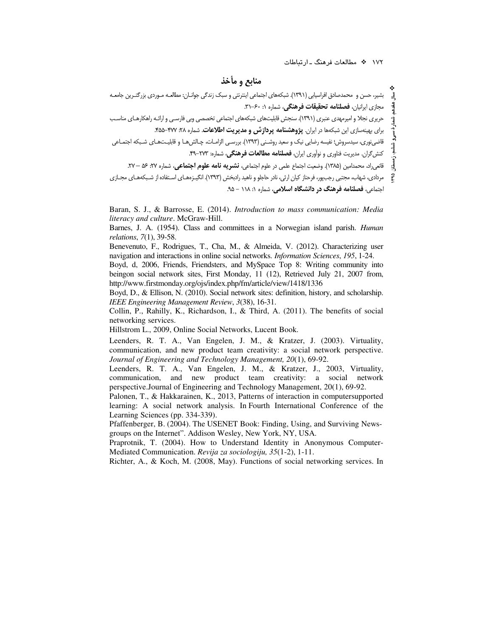### منابع و مأخذ

بشیر، حسن و محمدصادق افراسیابی (۱۳۹۱). شبکههای اجتماعی اینترنتی و سبک زندگی جوانـان: مطالعـه مـوردی بزرگتـرین جامعـه مجازی ایرانیان، **فصلنامه تحقیقات فرهنگی**، شماره ۰: ۶۰–۳۱. حریری نجلا و امیرمهدی عنبری (۱۳۹۱). سنجش قابلیتهای شبکههای اجتماعی تخصصی وبی فارسـی و ارائـه راهکارهـای مناسـب برای بهینهسازی این شبکهها در ایران. پژوهشنامه پردازش و مدیریت اطلاعات. شماره ۲۸: ۴۷۷-۴۵۵. قاضینوری، سیدسروش؛ نفیسه رضایی نیک و سعید روشـنی (۱۳۹۳). بررسـی الزامـات، چـالش۱عـا و قابلیـتـهـای شـبکه اجتمـاعی کنش گران. مدیریت فناوری و نواّوری ایران، **فصلنامه مطالعات فرهنگی**، شماره: ۲۷۳-۹۹. قانع <sub>«</sub>اد، محمدامین (۱۳۸۵). وضعیت اجتماع علمی در علوم اجتماعی، **نشیر به نامه علوم اجتماعی**، شماره ۲۷: ۵۶ – ۲۷. مردادی، شهاب، مجتبی رجبپور، فرحناز کیان ارثی، نادر حاجلو و ناهید رادبخش (۱۳۹۳). انگیـزههـای اسـتفاده از شـبکههـای مجـازی ę۹ احتماعي، **فصلنامه فرهنگ در دانشگاه اسلام**ي، شماره ۱: ۱۱۸ - ۹۵.

Baran, S. J., & Barrosse, E. (2014). Introduction to mass communication: Media *literacy and culture.* McGraw-Hill.

Barnes, J. A. (1954). Class and committees in a Norwegian island parish. *Human relations*, 7(1), 39-58.

Benevenuto, F., Rodrigues, T., Cha, M., & Almeida, V. (2012). Characterizing user navigation and interactions in online social networks. Information Sciences, 195, 1-24.

Boyd, d, 2006, Friends, Friendsters, and MySpace Top 8: Writing community into beingon social network sites, First Monday, 11 (12), Retrieved July 21, 2007 from, http://www.firstmonday.org/ojs/index.php/fm/article/view/1418/1336

Boyd, D., & Ellison, N. (2010). Social network sites: definition, history, and scholarship. IEEE Engineering Management Review, 3(38), 16-31.

Collin, P., Rahilly, K., Richardson, I., & Third, A. (2011). The benefits of social networking services.

Hillstrom L., 2009, Online Social Networks, Lucent Book.

Leenders, R. T. A., Van Engelen, J. M., & Kratzer, J. (2003). Virtuality, communication, and new product team creativity: a social network perspective. Journal of Engineering and Technology Management, 20(1), 69-92.

Leenders, R. T. A., Van Engelen, J. M., & Kratzer, J., 2003, Virtuality, communication, and new product team creativity: a social network perspective.Journal of Engineering and Technology Management, 20(1), 69-92.

Palonen, T., & Hakkarainen, K., 2013, Patterns of interaction in computersupported learning: A social network analysis. In Fourth International Conference of the Learning Sciences (pp. 334-339).

Pfaffenberger, B. (2004). The USENET Book: Finding, Using, and Surviving Newsgroups on the Internet". Addison Wesley, New York, NY, USA.

Praprotnik, T. (2004). How to Understand Identity in Anonymous Computer-Mediated Communication. Revija za sociologiju, 35(1-2), 1-11.

Richter, A., & Koch, M. (2008, May). Functions of social networking services. In